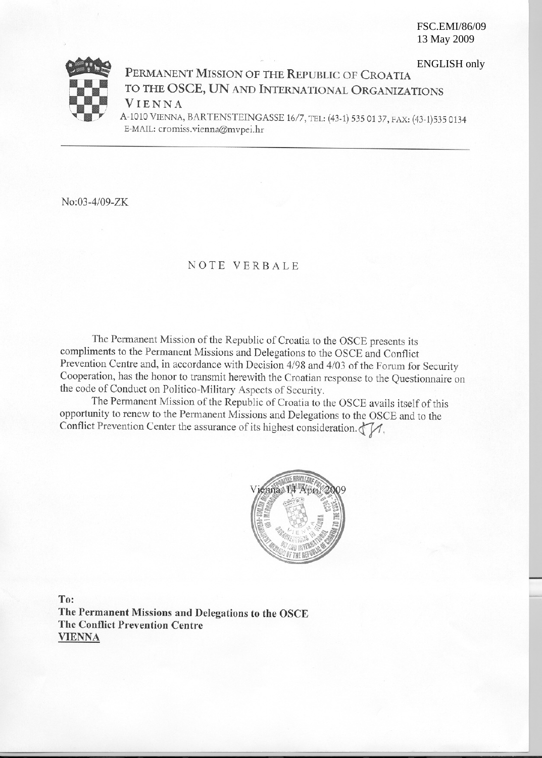**FSC.EMI/86/09** 13 May 2009



**ENGLISH only** PERMANENT MISSION OF THE REPUBLIC OF CROATIA TO THE OSCE, UN AND INTERNATIONAL ORGANIZATIONS VIENNA A-1010 VIENNA, BARTENSTEINGASSE 16/7, TEL: (43-1) 535 01 37, FAX: (43-1)535 0134

E-MAIL: cromiss.vienna@mvpei.hr

No:03-4/09-ZK

## NOTE VERBALE

The Permanent Mission of the Republic of Croatia to the OSCE presents its compliments to the Permanent Missions and Delegations to the OSCE and Conflict Prevention Centre and, in accordance with Decision 4/98 and 4/03 of the Forum for Security Cooperation, has the honor to transmit herewith the Croatian response to the Questionnaire on the code of Conduct on Politico-Military Aspects of Security.

The Permanent Mission of the Republic of Croatia to the OSCE avails itself of this opportunity to renew to the Permanent Missions and Delegations to the OSCE and to the Conflict Prevention Center the assurance of its highest consideration.  $\sqrt{\frac{1}{n}}$ .



To: The Permanent Missions and Delegations to the OSCE **The Conflict Prevention Centre VIENNA**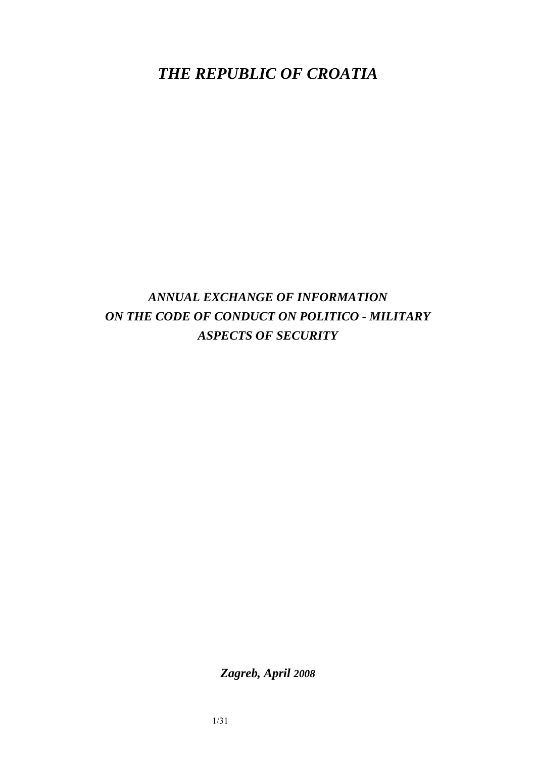*THE REPUBLIC OF CROATIA* 

*ANNUAL EXCHANGE OF INFORMATION ON THE CODE OF CONDUCT ON POLITICO - MILITARY ASPECTS OF SECURITY* 

*Zagreb, April 2008*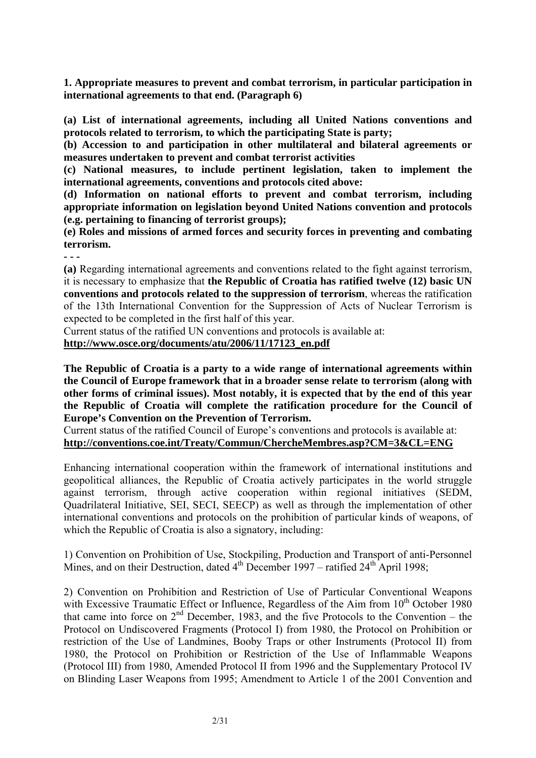**1. Appropriate measures to prevent and combat terrorism, in particular participation in international agreements to that end. (Paragraph 6)**

**(a) List of international agreements, including all United Nations conventions and protocols related to terrorism, to which the participating State is party;** 

**(b) Accession to and participation in other multilateral and bilateral agreements or measures undertaken to prevent and combat terrorist activities** 

**(c) National measures, to include pertinent legislation, taken to implement the international agreements, conventions and protocols cited above:** 

**(d) Information on national efforts to prevent and combat terrorism, including appropriate information on legislation beyond United Nations convention and protocols (e.g. pertaining to financing of terrorist groups);** 

**(e) Roles and missions of armed forces and security forces in preventing and combating terrorism.** 

**- - -** 

**(a)** Regarding international agreements and conventions related to the fight against terrorism, it is necessary to emphasize that **the Republic of Croatia has ratified twelve (12) basic UN conventions and protocols related to the suppression of terrorism**, whereas the ratification of the 13th International Convention for the Suppression of Acts of Nuclear Terrorism is expected to be completed in the first half of this year.

Current status of the ratified UN conventions and protocols is available at:

**http://www.osce.org/documents/atu/2006/11/17123\_en.pdf** 

**The Republic of Croatia is a party to a wide range of international agreements within the Council of Europe framework that in a broader sense relate to terrorism (along with other forms of criminal issues). Most notably, it is expected that by the end of this year the Republic of Croatia will complete the ratification procedure for the Council of Europe's Convention on the Prevention of Terrorism.** 

Current status of the ratified Council of Europe's conventions and protocols is available at: **http://conventions.coe.int/Treaty/Commun/ChercheMembres.asp?CM=3&CL=ENG** 

Enhancing international cooperation within the framework of international institutions and geopolitical alliances, the Republic of Croatia actively participates in the world struggle against terrorism, through active cooperation within regional initiatives (SEDM, Quadrilateral Initiative, SEI, SECI, SEECP) as well as through the implementation of other international conventions and protocols on the prohibition of particular kinds of weapons, of which the Republic of Croatia is also a signatory, including:

1) Convention on Prohibition of Use, Stockpiling, Production and Transport of anti-Personnel Mines, and on their Destruction, dated  $4^{th}$  December 1997 – ratified  $24^{th}$  April 1998;

2) Convention on Prohibition and Restriction of Use of Particular Conventional Weapons with Excessive Traumatic Effect or Influence, Regardless of the Aim from 10<sup>th</sup> October 1980 that came into force on  $2<sup>nd</sup>$  December, 1983, and the five Protocols to the Convention – the Protocol on Undiscovered Fragments (Protocol I) from 1980, the Protocol on Prohibition or restriction of the Use of Landmines, Booby Traps or other Instruments (Protocol II) from 1980, the Protocol on Prohibition or Restriction of the Use of Inflammable Weapons (Protocol III) from 1980, Amended Protocol II from 1996 and the Supplementary Protocol IV on Blinding Laser Weapons from 1995; Amendment to Article 1 of the 2001 Convention and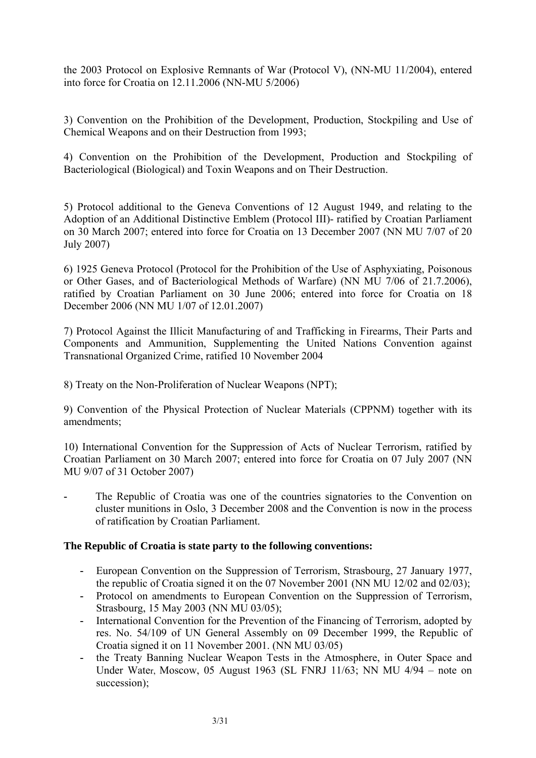the 2003 Protocol on Explosive Remnants of War (Protocol V), (NN-MU 11/2004), entered into force for Croatia on 12.11.2006 (NN-MU 5/2006)

3) Convention on the Prohibition of the Development, Production, Stockpiling and Use of Chemical Weapons and on their Destruction from 1993;

4) Convention on the Prohibition of the Development, Production and Stockpiling of Bacteriological (Biological) and Toxin Weapons and on Their Destruction.

5) Protocol additional to the Geneva Conventions of 12 August 1949, and relating to the Adoption of an Additional Distinctive Emblem (Protocol III)- ratified by Croatian Parliament on 30 March 2007; entered into force for Croatia on 13 December 2007 (NN MU 7/07 of 20 July 2007)

6) 1925 Geneva Protocol (Protocol for the Prohibition of the Use of Asphyxiating, Poisonous or Other Gases, and of Bacteriological Methods of Warfare) (NN MU 7/06 of 21.7.2006), ratified by Croatian Parliament on 30 June 2006; entered into force for Croatia on 18 December 2006 (NN MU 1/07 of 12.01.2007)

7) Protocol Against the Illicit Manufacturing of and Trafficking in Firearms, Their Parts and Components and Ammunition, Supplementing the United Nations Convention against Transnational Organized Crime, ratified 10 November 2004

8) Treaty on the Non-Proliferation of Nuclear Weapons (NPT);

9) Convention of the Physical Protection of Nuclear Materials (CPPNM) together with its amendments;

10) International Convention for the Suppression of Acts of Nuclear Terrorism, ratified by Croatian Parliament on 30 March 2007; entered into force for Croatia on 07 July 2007 (NN MU 9/07 of 31 October 2007)

The Republic of Croatia was one of the countries signatories to the Convention on cluster munitions in Oslo, 3 December 2008 and the Convention is now in the process of ratification by Croatian Parliament.

## **The Republic of Croatia is state party to the following conventions:**

- **-** European Convention on the Suppression of Terrorism, Strasbourg, 27 January 1977, the republic of Croatia signed it on the 07 November 2001 (NN MU 12/02 and 02/03);
- **-** Protocol on amendments to European Convention on the Suppression of Terrorism, Strasbourg, 15 May 2003 (NN MU 03/05);
- **-** International Convention for the Prevention of the Financing of Terrorism, adopted by res. No. 54/109 of UN General Assembly on 09 December 1999, the Republic of Croatia signed it on 11 November 2001. (NN MU 03/05)
- **-** the Treaty Banning Nuclear Weapon Tests in the Atmosphere, in Outer Space and Under Water, Moscow, 05 August 1963 (SL FNRJ 11/63; NN MU 4/94 – note on succession);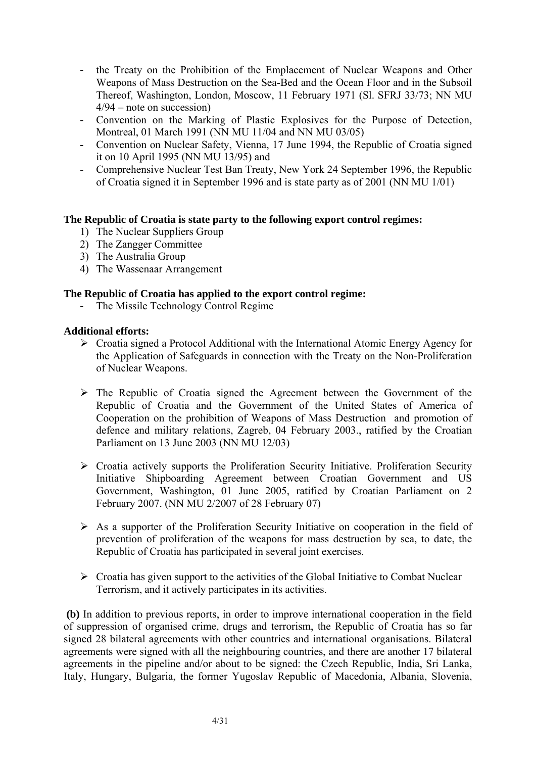- **-** the Treaty on the Prohibition of the Emplacement of Nuclear Weapons and Other Weapons of Mass Destruction on the Sea-Bed and the Ocean Floor and in the Subsoil Thereof, Washington, London, Moscow, 11 February 1971 (Sl. SFRJ 33/73; NN MU 4/94 – note on succession)
- **-** Convention on the Marking of Plastic Explosives for the Purpose of Detection, Montreal, 01 March 1991 (NN MU 11/04 and NN MU 03/05)
- **-** Convention on Nuclear Safety, Vienna, 17 June 1994, the Republic of Croatia signed it on 10 April 1995 (NN MU 13/95) and
- **-** Comprehensive Nuclear Test Ban Treaty, New York 24 September 1996, the Republic of Croatia signed it in September 1996 and is state party as of 2001 (NN MU 1/01)

## **The Republic of Croatia is state party to the following export control regimes:**

- 1) The Nuclear Suppliers Group
- 2) The Zangger Committee
- 3) The Australia Group
- 4) The Wassenaar Arrangement

# **The Republic of Croatia has applied to the export control regime:**

**-** The Missile Technology Control Regime

## **Additional efforts:**

- $\triangleright$  Croatia signed a Protocol Additional with the International Atomic Energy Agency for the Application of Safeguards in connection with the Treaty on the Non-Proliferation of Nuclear Weapons.
- $\triangleright$  The Republic of Croatia signed the Agreement between the Government of the Republic of Croatia and the Government of the United States of America of Cooperation on the prohibition of Weapons of Mass Destruction and promotion of defence and military relations, Zagreb, 04 February 2003., ratified by the Croatian Parliament on 13 June 2003 (NN MU 12/03)
- ¾ Croatia actively supports the Proliferation Security Initiative. Proliferation Security Initiative Shipboarding Agreement between Croatian Government and US Government, Washington, 01 June 2005, ratified by Croatian Parliament on 2 February 2007. (NN MU 2/2007 of 28 February 07)
- $\triangleright$  As a supporter of the Proliferation Security Initiative on cooperation in the field of prevention of proliferation of the weapons for mass destruction by sea, to date, the Republic of Croatia has participated in several joint exercises.
- $\triangleright$  Croatia has given support to the activities of the Global Initiative to Combat Nuclear Terrorism, and it actively participates in its activities.

 **(b)** In addition to previous reports, in order to improve international cooperation in the field of suppression of organised crime, drugs and terrorism, the Republic of Croatia has so far signed 28 bilateral agreements with other countries and international organisations. Bilateral agreements were signed with all the neighbouring countries, and there are another 17 bilateral agreements in the pipeline and/or about to be signed: the Czech Republic, India, Sri Lanka, Italy, Hungary, Bulgaria, the former Yugoslav Republic of Macedonia, Albania, Slovenia,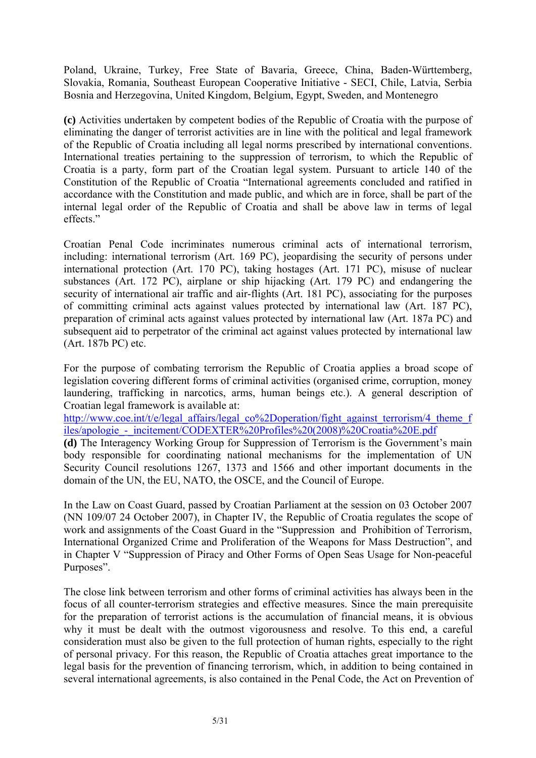Poland, Ukraine, Turkey, Free State of Bavaria, Greece, China, Baden-Württemberg, Slovakia, Romania, Southeast European Cooperative Initiative - SECI, Chile, Latvia, Serbia Bosnia and Herzegovina, United Kingdom, Belgium, Egypt, Sweden, and Montenegro

**(c)** Activities undertaken by competent bodies of the Republic of Croatia with the purpose of eliminating the danger of terrorist activities are in line with the political and legal framework of the Republic of Croatia including all legal norms prescribed by international conventions. International treaties pertaining to the suppression of terrorism, to which the Republic of Croatia is a party, form part of the Croatian legal system. Pursuant to article 140 of the Constitution of the Republic of Croatia "International agreements concluded and ratified in accordance with the Constitution and made public, and which are in force, shall be part of the internal legal order of the Republic of Croatia and shall be above law in terms of legal effects."

Croatian Penal Code incriminates numerous criminal acts of international terrorism, including: international terrorism (Art. 169 PC), jeopardising the security of persons under international protection (Art. 170 PC), taking hostages (Art. 171 PC), misuse of nuclear substances (Art. 172 PC), airplane or ship hijacking (Art. 179 PC) and endangering the security of international air traffic and air-flights (Art. 181 PC), associating for the purposes of committing criminal acts against values protected by international law (Art. 187 PC), preparation of criminal acts against values protected by international law (Art. 187a PC) and subsequent aid to perpetrator of the criminal act against values protected by international law (Art. 187b PC) etc.

For the purpose of combating terrorism the Republic of Croatia applies a broad scope of legislation covering different forms of criminal activities (organised crime, corruption, money laundering, trafficking in narcotics, arms, human beings etc.). A general description of Croatian legal framework is available at:

http://www.coe.int/t/e/legal\_affairs/legal\_co%2Doperation/fight\_against\_terrorism/4\_theme\_f iles/apologie\_-\_incitement/CODEXTER%20Profiles%20(2008)%20Croatia%20E.pdf

**(d)** The Interagency Working Group for Suppression of Terrorism is the Government's main body responsible for coordinating national mechanisms for the implementation of UN Security Council resolutions 1267, 1373 and 1566 and other important documents in the domain of the UN, the EU, NATO, the OSCE, and the Council of Europe.

In the Law on Coast Guard, passed by Croatian Parliament at the session on 03 October 2007 (NN 109/07 24 October 2007), in Chapter IV, the Republic of Croatia regulates the scope of work and assignments of the Coast Guard in the "Suppression and Prohibition of Terrorism, International Organized Crime and Proliferation of the Weapons for Mass Destruction", and in Chapter V "Suppression of Piracy and Other Forms of Open Seas Usage for Non-peaceful Purposes".

The close link between terrorism and other forms of criminal activities has always been in the focus of all counter-terrorism strategies and effective measures. Since the main prerequisite for the preparation of terrorist actions is the accumulation of financial means, it is obvious why it must be dealt with the outmost vigorousness and resolve. To this end, a careful consideration must also be given to the full protection of human rights, especially to the right of personal privacy. For this reason, the Republic of Croatia attaches great importance to the legal basis for the prevention of financing terrorism, which, in addition to being contained in several international agreements, is also contained in the Penal Code, the Act on Prevention of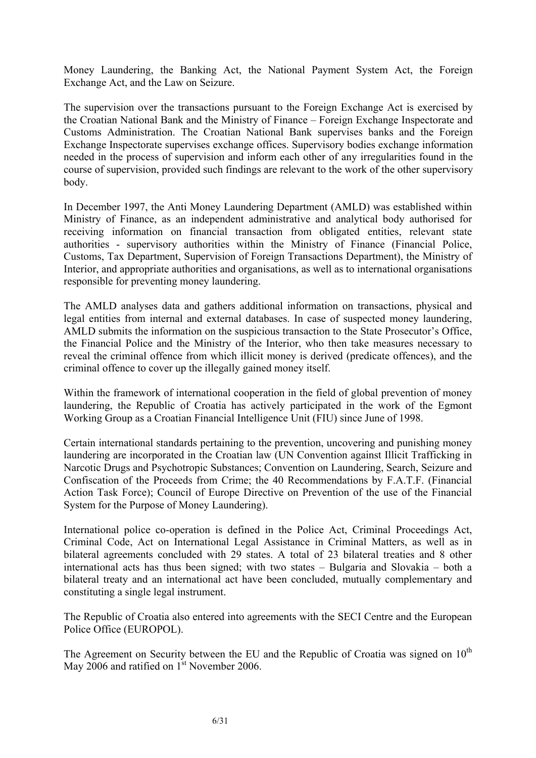Money Laundering, the Banking Act, the National Payment System Act, the Foreign Exchange Act, and the Law on Seizure.

The supervision over the transactions pursuant to the Foreign Exchange Act is exercised by the Croatian National Bank and the Ministry of Finance – Foreign Exchange Inspectorate and Customs Administration. The Croatian National Bank supervises banks and the Foreign Exchange Inspectorate supervises exchange offices. Supervisory bodies exchange information needed in the process of supervision and inform each other of any irregularities found in the course of supervision, provided such findings are relevant to the work of the other supervisory body.

In December 1997, the Anti Money Laundering Department (AMLD) was established within Ministry of Finance, as an independent administrative and analytical body authorised for receiving information on financial transaction from obligated entities, relevant state authorities - supervisory authorities within the Ministry of Finance (Financial Police, Customs, Tax Department, Supervision of Foreign Transactions Department), the Ministry of Interior, and appropriate authorities and organisations, as well as to international organisations responsible for preventing money laundering.

The AMLD analyses data and gathers additional information on transactions, physical and legal entities from internal and external databases. In case of suspected money laundering, AMLD submits the information on the suspicious transaction to the State Prosecutor's Office, the Financial Police and the Ministry of the Interior, who then take measures necessary to reveal the criminal offence from which illicit money is derived (predicate offences), and the criminal offence to cover up the illegally gained money itself.

Within the framework of international cooperation in the field of global prevention of money laundering, the Republic of Croatia has actively participated in the work of the Egmont Working Group as a Croatian Financial Intelligence Unit (FIU) since June of 1998.

Certain international standards pertaining to the prevention, uncovering and punishing money laundering are incorporated in the Croatian law (UN Convention against Illicit Trafficking in Narcotic Drugs and Psychotropic Substances; Convention on Laundering, Search, Seizure and Confiscation of the Proceeds from Crime; the 40 Recommendations by F.A.T.F. (Financial Action Task Force); Council of Europe Directive on Prevention of the use of the Financial System for the Purpose of Money Laundering).

International police co-operation is defined in the Police Act, Criminal Proceedings Act, Criminal Code, Act on International Legal Assistance in Criminal Matters, as well as in bilateral agreements concluded with 29 states. A total of 23 bilateral treaties and 8 other international acts has thus been signed; with two states – Bulgaria and Slovakia – both a bilateral treaty and an international act have been concluded, mutually complementary and constituting a single legal instrument.

The Republic of Croatia also entered into agreements with the SECI Centre and the European Police Office (EUROPOL).

The Agreement on Security between the EU and the Republic of Croatia was signed on  $10<sup>th</sup>$ May 2006 and ratified on 1<sup>st</sup> November 2006.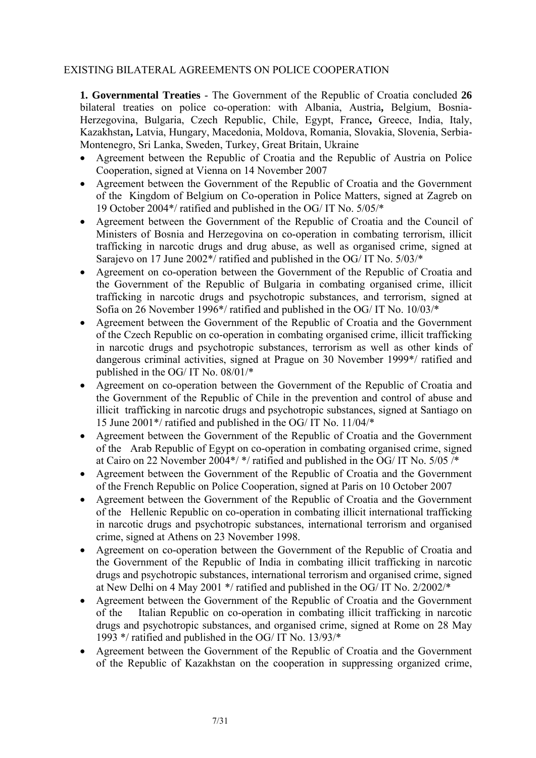## EXISTING BILATERAL AGREEMENTS ON POLICE COOPERATION

**1. Governmental Treaties** - The Government of the Republic of Croatia concluded **26** bilateral treaties on police co-operation: with Albania, Austria**,** Belgium, Bosnia-Herzegovina, Bulgaria, Czech Republic, Chile, Egypt, France**,** Greece, India, Italy, Kazakhstan**,** Latvia, Hungary, Macedonia, Moldova, Romania, Slovakia, Slovenia, Serbia-Montenegro, Sri Lanka, Sweden, Turkey, Great Britain, Ukraine

- Agreement between the Republic of Croatia and the Republic of Austria on Police Cooperation, signed at Vienna on 14 November 2007
- Agreement between the Government of the Republic of Croatia and the Government of the Kingdom of Belgium on Co-operation in Police Matters, signed at Zagreb on 19 October 2004\*/ ratified and published in the OG/ IT No. 5/05/\*
- Agreement between the Government of the Republic of Croatia and the Council of Ministers of Bosnia and Herzegovina on co-operation in combating terrorism, illicit trafficking in narcotic drugs and drug abuse, as well as organised crime, signed at Sarajevo on 17 June 2002\*/ ratified and published in the OG/ IT No. 5/03/\*
- Agreement on co-operation between the Government of the Republic of Croatia and the Government of the Republic of Bulgaria in combating organised crime, illicit trafficking in narcotic drugs and psychotropic substances, and terrorism, signed at Sofia on 26 November 1996\*/ ratified and published in the OG/ IT No. 10/03/\*
- Agreement between the Government of the Republic of Croatia and the Government of the Czech Republic on co-operation in combating organised crime, illicit trafficking in narcotic drugs and psychotropic substances, terrorism as well as other kinds of dangerous criminal activities, signed at Prague on 30 November 1999\*/ ratified and published in the OG/ IT No. 08/01/\*
- Agreement on co-operation between the Government of the Republic of Croatia and the Government of the Republic of Chile in the prevention and control of abuse and illicit trafficking in narcotic drugs and psychotropic substances, signed at Santiago on 15 June 2001\*/ ratified and published in the OG/ IT No. 11/04/\*
- Agreement between the Government of the Republic of Croatia and the Government of the Arab Republic of Egypt on co-operation in combating organised crime, signed at Cairo on 22 November 2004\*/ \*/ ratified and published in the OG/ IT No. 5/05 /\*
- Agreement between the Government of the Republic of Croatia and the Government of the French Republic on Police Cooperation, signed at Paris on 10 October 2007
- Agreement between the Government of the Republic of Croatia and the Government of the Hellenic Republic on co-operation in combating illicit international trafficking in narcotic drugs and psychotropic substances, international terrorism and organised crime, signed at Athens on 23 November 1998.
- Agreement on co-operation between the Government of the Republic of Croatia and the Government of the Republic of India in combating illicit trafficking in narcotic drugs and psychotropic substances, international terrorism and organised crime, signed at New Delhi on 4 May 2001 \*/ ratified and published in the OG/ IT No. 2/2002/\*
- Agreement between the Government of the Republic of Croatia and the Government of the Italian Republic on co-operation in combating illicit trafficking in narcotic drugs and psychotropic substances, and organised crime, signed at Rome on 28 May 1993 \*/ ratified and published in the OG/ IT No. 13/93/\*
- Agreement between the Government of the Republic of Croatia and the Government of the Republic of Kazakhstan on the cooperation in suppressing organized crime,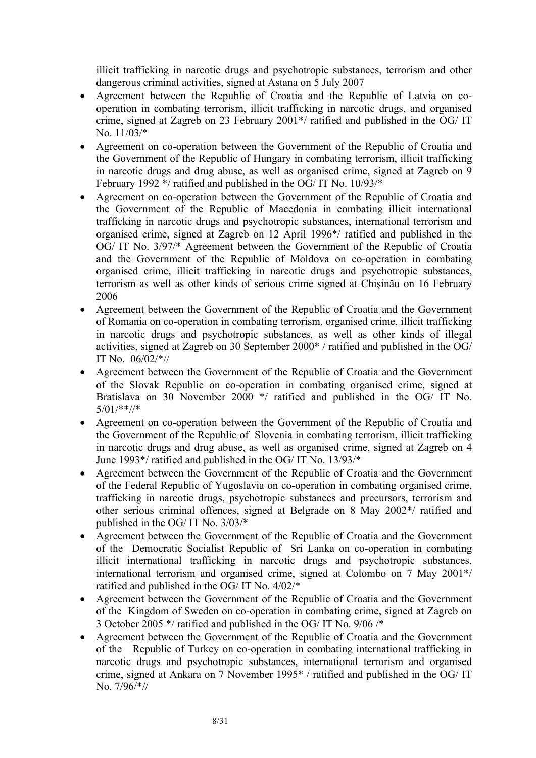illicit trafficking in narcotic drugs and psychotropic substances, terrorism and other dangerous criminal activities, signed at Astana on 5 July 2007

- Agreement between the Republic of Croatia and the Republic of Latvia on cooperation in combating terrorism, illicit trafficking in narcotic drugs, and organised crime, signed at Zagreb on 23 February 2001\*/ ratified and published in the OG/ IT No. 11/03/\*
- Agreement on co-operation between the Government of the Republic of Croatia and the Government of the Republic of Hungary in combating terrorism, illicit trafficking in narcotic drugs and drug abuse, as well as organised crime, signed at Zagreb on 9 February 1992 \*/ ratified and published in the OG/ IT No. 10/93/\*
- Agreement on co-operation between the Government of the Republic of Croatia and the Government of the Republic of Macedonia in combating illicit international trafficking in narcotic drugs and psychotropic substances, international terrorism and organised crime, signed at Zagreb on 12 April 1996\*/ ratified and published in the OG/ IT No. 3/97/\* Agreement between the Government of the Republic of Croatia and the Government of the Republic of Moldova on co-operation in combating organised crime, illicit trafficking in narcotic drugs and psychotropic substances, terrorism as well as other kinds of serious crime signed at Chişinău on 16 February 2006
- Agreement between the Government of the Republic of Croatia and the Government of Romania on co-operation in combating terrorism, organised crime, illicit trafficking in narcotic drugs and psychotropic substances, as well as other kinds of illegal activities, signed at Zagreb on 30 September 2000\* / ratified and published in the OG/ IT No. 06/02/\*//
- Agreement between the Government of the Republic of Croatia and the Government of the Slovak Republic on co-operation in combating organised crime, signed at Bratislava on 30 November 2000 \*/ ratified and published in the OG/ IT No. 5/01/\*\*//\*
- Agreement on co-operation between the Government of the Republic of Croatia and the Government of the Republic of Slovenia in combating terrorism, illicit trafficking in narcotic drugs and drug abuse, as well as organised crime, signed at Zagreb on 4 June 1993\*/ ratified and published in the OG/ IT No. 13/93/\*
- Agreement between the Government of the Republic of Croatia and the Government of the Federal Republic of Yugoslavia on co-operation in combating organised crime, trafficking in narcotic drugs, psychotropic substances and precursors, terrorism and other serious criminal offences, signed at Belgrade on 8 May 2002\*/ ratified and published in the OG/ IT No. 3/03/\*
- Agreement between the Government of the Republic of Croatia and the Government of the Democratic Socialist Republic of Sri Lanka on co-operation in combating illicit international trafficking in narcotic drugs and psychotropic substances, international terrorism and organised crime, signed at Colombo on 7 May 2001\*/ ratified and published in the OG/ IT No. 4/02/\*
- Agreement between the Government of the Republic of Croatia and the Government of the Kingdom of Sweden on co-operation in combating crime, signed at Zagreb on 3 October 2005 \*/ ratified and published in the OG/ IT No. 9/06 /\*
- Agreement between the Government of the Republic of Croatia and the Government of the Republic of Turkey on co-operation in combating international trafficking in narcotic drugs and psychotropic substances, international terrorism and organised crime, signed at Ankara on 7 November 1995\* / ratified and published in the OG/ IT No. 7/96/\*//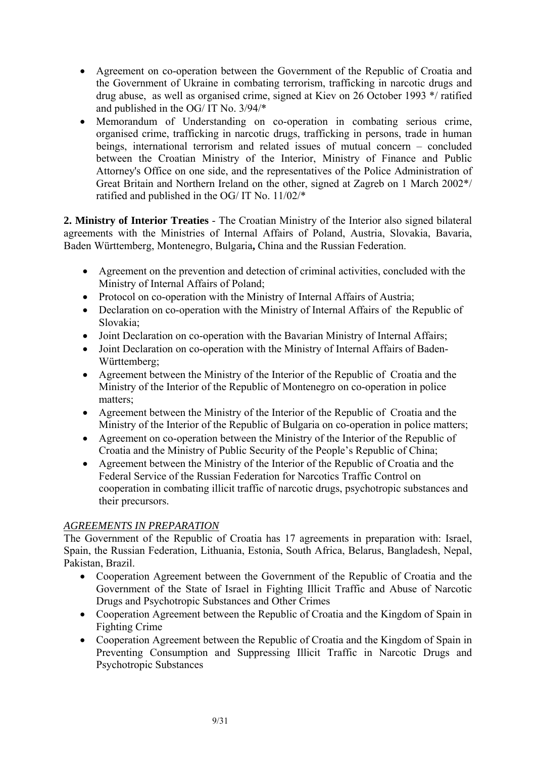- Agreement on co-operation between the Government of the Republic of Croatia and the Government of Ukraine in combating terrorism, trafficking in narcotic drugs and drug abuse, as well as organised crime, signed at Kiev on 26 October 1993 \*/ ratified and published in the OG/ IT No. 3/94/\*
- Memorandum of Understanding on co-operation in combating serious crime, organised crime, trafficking in narcotic drugs, trafficking in persons, trade in human beings, international terrorism and related issues of mutual concern – concluded between the Croatian Ministry of the Interior, Ministry of Finance and Public Attorney's Office on one side, and the representatives of the Police Administration of Great Britain and Northern Ireland on the other, signed at Zagreb on 1 March 2002\*/ ratified and published in the OG/ IT No. 11/02/\*

**2. Ministry of Interior Treaties** - The Croatian Ministry of the Interior also signed bilateral agreements with the Ministries of Internal Affairs of Poland, Austria, Slovakia, Bavaria, Baden Württemberg, Montenegro, Bulgaria**,** China and the Russian Federation.

- Agreement on the prevention and detection of criminal activities, concluded with the Ministry of Internal Affairs of Poland;
- Protocol on co-operation with the Ministry of Internal Affairs of Austria;
- Declaration on co-operation with the Ministry of Internal Affairs of the Republic of Slovakia;
- Joint Declaration on co-operation with the Bavarian Ministry of Internal Affairs;
- Joint Declaration on co-operation with the Ministry of Internal Affairs of Baden-Württemberg;
- Agreement between the Ministry of the Interior of the Republic of Croatia and the Ministry of the Interior of the Republic of Montenegro on co-operation in police matters;
- Agreement between the Ministry of the Interior of the Republic of Croatia and the Ministry of the Interior of the Republic of Bulgaria on co-operation in police matters;
- Agreement on co-operation between the Ministry of the Interior of the Republic of Croatia and the Ministry of Public Security of the People's Republic of China;
- Agreement between the Ministry of the Interior of the Republic of Croatia and the Federal Service of the Russian Federation for Narcotics Traffic Control on cooperation in combating illicit traffic of narcotic drugs, psychotropic substances and their precursors.

# *AGREEMENTS IN PREPARATION*

The Government of the Republic of Croatia has 17 agreements in preparation with: Israel, Spain, the Russian Federation, Lithuania, Estonia, South Africa, Belarus, Bangladesh, Nepal, Pakistan, Brazil.

- Cooperation Agreement between the Government of the Republic of Croatia and the Government of the State of Israel in Fighting Illicit Traffic and Abuse of Narcotic Drugs and Psychotropic Substances and Other Crimes
- Cooperation Agreement between the Republic of Croatia and the Kingdom of Spain in Fighting Crime
- Cooperation Agreement between the Republic of Croatia and the Kingdom of Spain in Preventing Consumption and Suppressing Illicit Traffic in Narcotic Drugs and Psychotropic Substances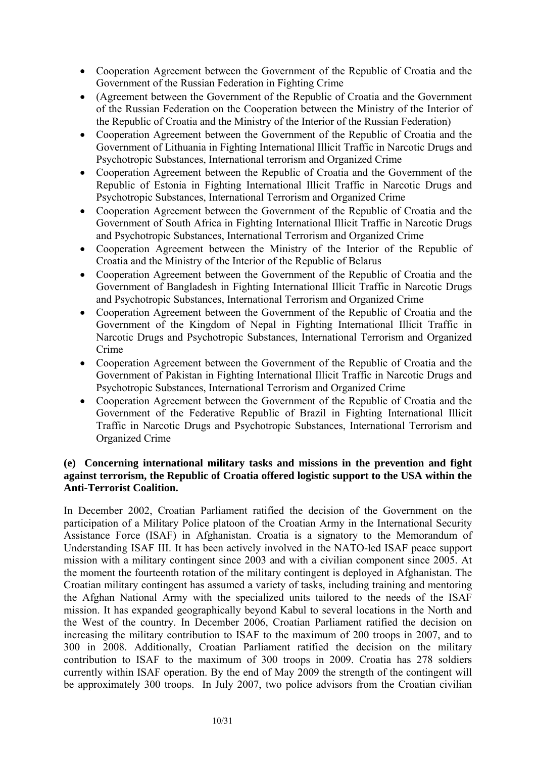- Cooperation Agreement between the Government of the Republic of Croatia and the Government of the Russian Federation in Fighting Crime
- (Agreement between the Government of the Republic of Croatia and the Government of the Russian Federation on the Cooperation between the Ministry of the Interior of the Republic of Croatia and the Ministry of the Interior of the Russian Federation)
- Cooperation Agreement between the Government of the Republic of Croatia and the Government of Lithuania in Fighting International Illicit Traffic in Narcotic Drugs and Psychotropic Substances, International terrorism and Organized Crime
- Cooperation Agreement between the Republic of Croatia and the Government of the Republic of Estonia in Fighting International Illicit Traffic in Narcotic Drugs and Psychotropic Substances, International Terrorism and Organized Crime
- Cooperation Agreement between the Government of the Republic of Croatia and the Government of South Africa in Fighting International Illicit Traffic in Narcotic Drugs and Psychotropic Substances, International Terrorism and Organized Crime
- Cooperation Agreement between the Ministry of the Interior of the Republic of Croatia and the Ministry of the Interior of the Republic of Belarus
- Cooperation Agreement between the Government of the Republic of Croatia and the Government of Bangladesh in Fighting International Illicit Traffic in Narcotic Drugs and Psychotropic Substances, International Terrorism and Organized Crime
- Cooperation Agreement between the Government of the Republic of Croatia and the Government of the Kingdom of Nepal in Fighting International Illicit Traffic in Narcotic Drugs and Psychotropic Substances, International Terrorism and Organized Crime
- Cooperation Agreement between the Government of the Republic of Croatia and the Government of Pakistan in Fighting International Illicit Traffic in Narcotic Drugs and Psychotropic Substances, International Terrorism and Organized Crime
- Cooperation Agreement between the Government of the Republic of Croatia and the Government of the Federative Republic of Brazil in Fighting International Illicit Traffic in Narcotic Drugs and Psychotropic Substances, International Terrorism and Organized Crime

# **(e) Concerning international military tasks and missions in the prevention and fight against terrorism, the Republic of Croatia offered logistic support to the USA within the Anti-Terrorist Coalition.**

In December 2002, Croatian Parliament ratified the decision of the Government on the participation of a Military Police platoon of the Croatian Army in the International Security Assistance Force (ISAF) in Afghanistan. Croatia is a signatory to the Memorandum of Understanding ISAF III. It has been actively involved in the NATO-led ISAF peace support mission with a military contingent since 2003 and with a civilian component since 2005. At the moment the fourteenth rotation of the military contingent is deployed in Afghanistan. The Croatian military contingent has assumed a variety of tasks, including training and mentoring the Afghan National Army with the specialized units tailored to the needs of the ISAF mission. It has expanded geographically beyond Kabul to several locations in the North and the West of the country. In December 2006, Croatian Parliament ratified the decision on increasing the military contribution to ISAF to the maximum of 200 troops in 2007, and to 300 in 2008. Additionally, Croatian Parliament ratified the decision on the military contribution to ISAF to the maximum of 300 troops in 2009. Croatia has 278 soldiers currently within ISAF operation. By the end of May 2009 the strength of the contingent will be approximately 300 troops. In July 2007, two police advisors from the Croatian civilian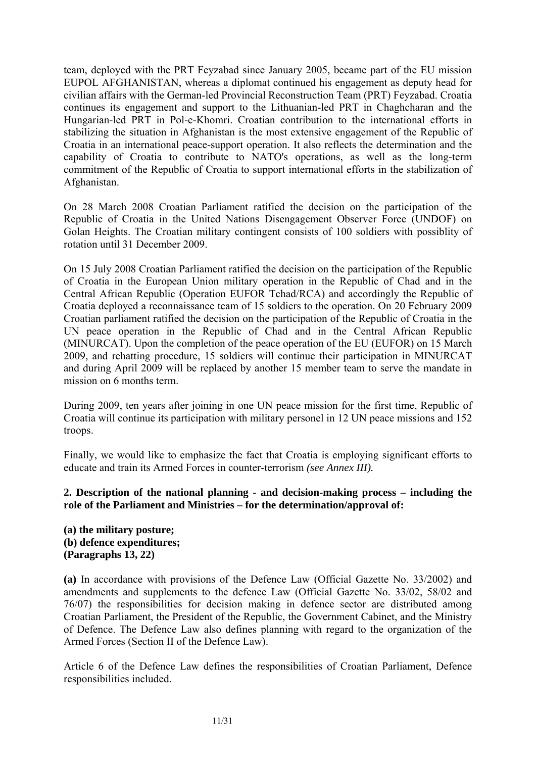team, deployed with the PRT Feyzabad since January 2005, became part of the EU mission EUPOL AFGHANISTAN, whereas a diplomat continued his engagement as deputy head for civilian affairs with the German-led Provincial Reconstruction Team (PRT) Feyzabad. Croatia continues its engagement and support to the Lithuanian-led PRT in Chaghcharan and the Hungarian-led PRT in Pol-e-Khomri. Croatian contribution to the international efforts in stabilizing the situation in Afghanistan is the most extensive engagement of the Republic of Croatia in an international peace-support operation. It also reflects the determination and the capability of Croatia to contribute to NATO's operations, as well as the long-term commitment of the Republic of Croatia to support international efforts in the stabilization of Afghanistan.

On 28 March 2008 Croatian Parliament ratified the decision on the participation of the Republic of Croatia in the United Nations Disengagement Observer Force (UNDOF) on Golan Heights. The Croatian military contingent consists of 100 soldiers with possiblity of rotation until 31 December 2009.

On 15 July 2008 Croatian Parliament ratified the decision on the participation of the Republic of Croatia in the European Union military operation in the Republic of Chad and in the Central African Republic (Operation EUFOR Tchad/RCA) and accordingly the Republic of Croatia deployed a reconnaissance team of 15 soldiers to the operation. On 20 February 2009 Croatian parliament ratified the decision on the participation of the Republic of Croatia in the UN peace operation in the Republic of Chad and in the Central African Republic (MINURCAT). Upon the completion of the peace operation of the EU (EUFOR) on 15 March 2009, and rehatting procedure, 15 soldiers will continue their participation in MINURCAT and during April 2009 will be replaced by another 15 member team to serve the mandate in mission on 6 months term.

During 2009, ten years after joining in one UN peace mission for the first time, Republic of Croatia will continue its participation with military personel in 12 UN peace missions and 152 troops.

Finally, we would like to emphasize the fact that Croatia is employing significant efforts to educate and train its Armed Forces in counter-terrorism *(see Annex III).*

## **2. Description of the national planning - and decision-making process – including the role of the Parliament and Ministries – for the determination/approval of:**

**(a) the military posture; (b) defence expenditures; (Paragraphs 13, 22)** 

**(a)** In accordance with provisions of the Defence Law (Official Gazette No. 33/2002) and amendments and supplements to the defence Law (Official Gazette No. 33/02, 58/02 and 76/07) the responsibilities for decision making in defence sector are distributed among Croatian Parliament, the President of the Republic, the Government Cabinet, and the Ministry of Defence. The Defence Law also defines planning with regard to the organization of the Armed Forces (Section II of the Defence Law).

Article 6 of the Defence Law defines the responsibilities of Croatian Parliament, Defence responsibilities included.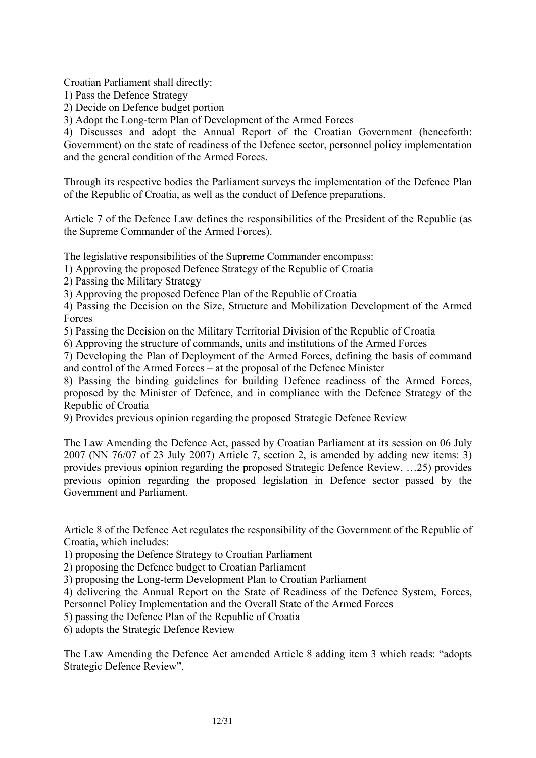Croatian Parliament shall directly:

1) Pass the Defence Strategy

2) Decide on Defence budget portion

3) Adopt the Long-term Plan of Development of the Armed Forces

4) Discusses and adopt the Annual Report of the Croatian Government (henceforth: Government) on the state of readiness of the Defence sector, personnel policy implementation and the general condition of the Armed Forces.

Through its respective bodies the Parliament surveys the implementation of the Defence Plan of the Republic of Croatia, as well as the conduct of Defence preparations.

Article 7 of the Defence Law defines the responsibilities of the President of the Republic (as the Supreme Commander of the Armed Forces).

The legislative responsibilities of the Supreme Commander encompass:

1) Approving the proposed Defence Strategy of the Republic of Croatia

2) Passing the Military Strategy

3) Approving the proposed Defence Plan of the Republic of Croatia

4) Passing the Decision on the Size, Structure and Mobilization Development of the Armed Forces

5) Passing the Decision on the Military Territorial Division of the Republic of Croatia

6) Approving the structure of commands, units and institutions of the Armed Forces

7) Developing the Plan of Deployment of the Armed Forces, defining the basis of command and control of the Armed Forces – at the proposal of the Defence Minister

8) Passing the binding guidelines for building Defence readiness of the Armed Forces, proposed by the Minister of Defence, and in compliance with the Defence Strategy of the Republic of Croatia

9) Provides previous opinion regarding the proposed Strategic Defence Review

The Law Amending the Defence Act, passed by Croatian Parliament at its session on 06 July 2007 (NN 76/07 of 23 July 2007) Article 7, section 2, is amended by adding new items: 3) provides previous opinion regarding the proposed Strategic Defence Review, …25) provides previous opinion regarding the proposed legislation in Defence sector passed by the Government and Parliament.

Article 8 of the Defence Act regulates the responsibility of the Government of the Republic of Croatia, which includes:

1) proposing the Defence Strategy to Croatian Parliament

2) proposing the Defence budget to Croatian Parliament

3) proposing the Long-term Development Plan to Croatian Parliament

4) delivering the Annual Report on the State of Readiness of the Defence System, Forces, Personnel Policy Implementation and the Overall State of the Armed Forces

5) passing the Defence Plan of the Republic of Croatia

6) adopts the Strategic Defence Review

The Law Amending the Defence Act amended Article 8 adding item 3 which reads: "adopts Strategic Defence Review",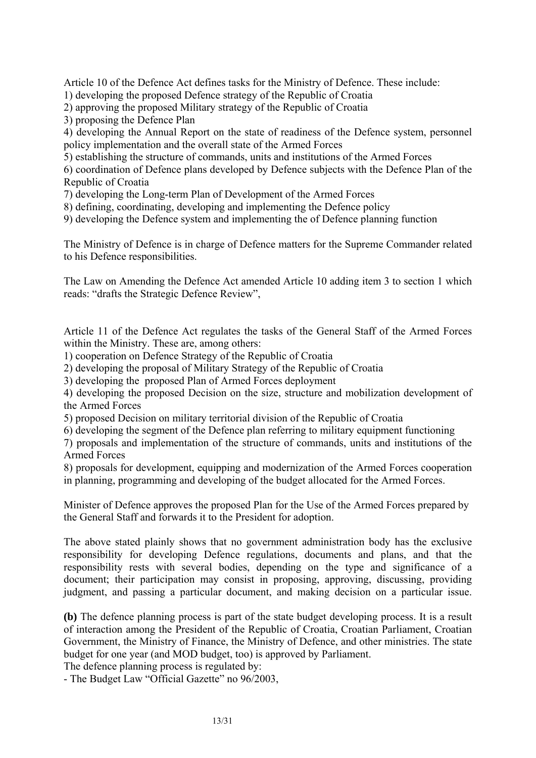Article 10 of the Defence Act defines tasks for the Ministry of Defence. These include:

1) developing the proposed Defence strategy of the Republic of Croatia

2) approving the proposed Military strategy of the Republic of Croatia

3) proposing the Defence Plan

4) developing the Annual Report on the state of readiness of the Defence system, personnel policy implementation and the overall state of the Armed Forces

5) establishing the structure of commands, units and institutions of the Armed Forces

6) coordination of Defence plans developed by Defence subjects with the Defence Plan of the Republic of Croatia

7) developing the Long-term Plan of Development of the Armed Forces

8) defining, coordinating, developing and implementing the Defence policy

9) developing the Defence system and implementing the of Defence planning function

The Ministry of Defence is in charge of Defence matters for the Supreme Commander related to his Defence responsibilities.

The Law on Amending the Defence Act amended Article 10 adding item 3 to section 1 which reads: "drafts the Strategic Defence Review",

Article 11 of the Defence Act regulates the tasks of the General Staff of the Armed Forces within the Ministry. These are, among others:

1) cooperation on Defence Strategy of the Republic of Croatia

2) developing the proposal of Military Strategy of the Republic of Croatia

3) developing the proposed Plan of Armed Forces deployment

4) developing the proposed Decision on the size, structure and mobilization development of the Armed Forces

5) proposed Decision on military territorial division of the Republic of Croatia

6) developing the segment of the Defence plan referring to military equipment functioning

7) proposals and implementation of the structure of commands, units and institutions of the Armed Forces

8) proposals for development, equipping and modernization of the Armed Forces cooperation in planning, programming and developing of the budget allocated for the Armed Forces.

Minister of Defence approves the proposed Plan for the Use of the Armed Forces prepared by the General Staff and forwards it to the President for adoption.

The above stated plainly shows that no government administration body has the exclusive responsibility for developing Defence regulations, documents and plans, and that the responsibility rests with several bodies, depending on the type and significance of a document; their participation may consist in proposing, approving, discussing, providing judgment, and passing a particular document, and making decision on a particular issue.

**(b)** The defence planning process is part of the state budget developing process. It is a result of interaction among the President of the Republic of Croatia, Croatian Parliament, Croatian Government, the Ministry of Finance, the Ministry of Defence, and other ministries. The state budget for one year (and MOD budget, too) is approved by Parliament.

The defence planning process is regulated by:

- The Budget Law "Official Gazette" no 96/2003,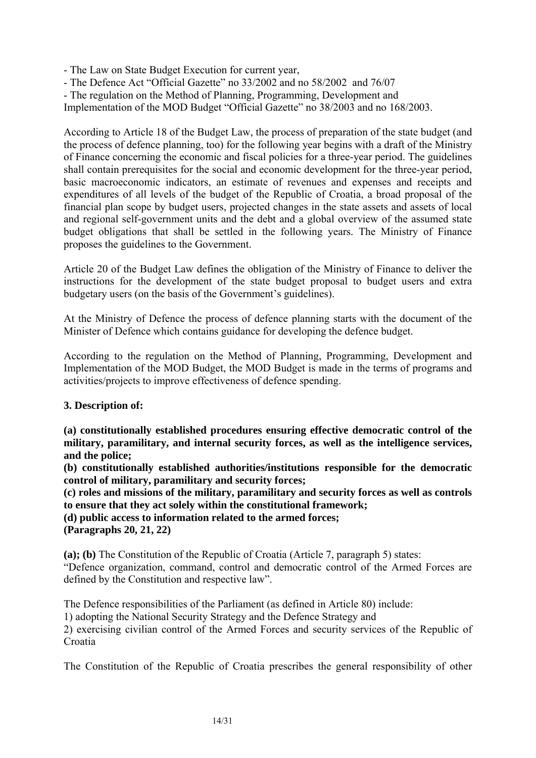- The Law on State Budget Execution for current year,

- The Defence Act "Official Gazette" no 33/2002 and no 58/2002 and 76/07

- The regulation on the Method of Planning, Programming, Development and

Implementation of the MOD Budget "Official Gazette" no 38/2003 and no 168/2003.

According to Article 18 of the Budget Law, the process of preparation of the state budget (and the process of defence planning, too) for the following year begins with a draft of the Ministry of Finance concerning the economic and fiscal policies for a three-year period. The guidelines shall contain prerequisites for the social and economic development for the three-year period, basic macroeconomic indicators, an estimate of revenues and expenses and receipts and expenditures of all levels of the budget of the Republic of Croatia, a broad proposal of the financial plan scope by budget users, projected changes in the state assets and assets of local and regional self-government units and the debt and a global overview of the assumed state budget obligations that shall be settled in the following years. The Ministry of Finance proposes the guidelines to the Government.

Article 20 of the Budget Law defines the obligation of the Ministry of Finance to deliver the instructions for the development of the state budget proposal to budget users and extra budgetary users (on the basis of the Government's guidelines).

At the Ministry of Defence the process of defence planning starts with the document of the Minister of Defence which contains guidance for developing the defence budget.

According to the regulation on the Method of Planning, Programming, Development and Implementation of the MOD Budget, the MOD Budget is made in the terms of programs and activities/projects to improve effectiveness of defence spending.

## **3. Description of:**

**(a) constitutionally established procedures ensuring effective democratic control of the military, paramilitary, and internal security forces, as well as the intelligence services, and the police;** 

**(b) constitutionally established authorities/institutions responsible for the democratic control of military, paramilitary and security forces;** 

**(c) roles and missions of the military, paramilitary and security forces as well as controls to ensure that they act solely within the constitutional framework;** 

**(d) public access to information related to the armed forces;** 

**(Paragraphs 20, 21, 22)** 

**(a); (b)** The Constitution of the Republic of Croatia (Article 7, paragraph 5) states:

"Defence organization, command, control and democratic control of the Armed Forces are defined by the Constitution and respective law".

The Defence responsibilities of the Parliament (as defined in Article 80) include:

1) adopting the National Security Strategy and the Defence Strategy and

2) exercising civilian control of the Armed Forces and security services of the Republic of Croatia

The Constitution of the Republic of Croatia prescribes the general responsibility of other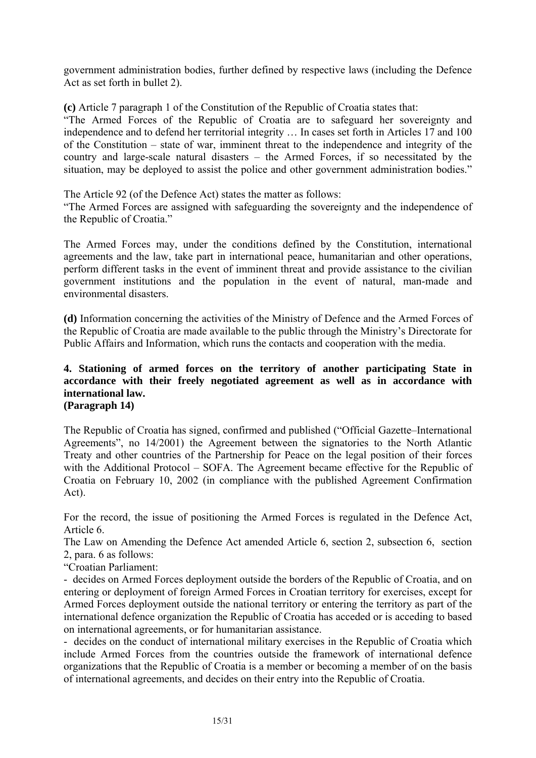government administration bodies, further defined by respective laws (including the Defence Act as set forth in bullet 2).

**(c)** Article 7 paragraph 1 of the Constitution of the Republic of Croatia states that:

"The Armed Forces of the Republic of Croatia are to safeguard her sovereignty and independence and to defend her territorial integrity … In cases set forth in Articles 17 and 100 of the Constitution – state of war, imminent threat to the independence and integrity of the country and large-scale natural disasters – the Armed Forces, if so necessitated by the situation, may be deployed to assist the police and other government administration bodies."

The Article 92 (of the Defence Act) states the matter as follows:

"The Armed Forces are assigned with safeguarding the sovereignty and the independence of the Republic of Croatia."

The Armed Forces may, under the conditions defined by the Constitution, international agreements and the law, take part in international peace, humanitarian and other operations, perform different tasks in the event of imminent threat and provide assistance to the civilian government institutions and the population in the event of natural, man-made and environmental disasters.

**(d)** Information concerning the activities of the Ministry of Defence and the Armed Forces of the Republic of Croatia are made available to the public through the Ministry's Directorate for Public Affairs and Information, which runs the contacts and cooperation with the media.

## **4. Stationing of armed forces on the territory of another participating State in accordance with their freely negotiated agreement as well as in accordance with international law. (Paragraph 14)**

The Republic of Croatia has signed, confirmed and published ("Official Gazette–International Agreements", no 14/2001) the Agreement between the signatories to the North Atlantic Treaty and other countries of the Partnership for Peace on the legal position of their forces with the Additional Protocol – SOFA. The Agreement became effective for the Republic of Croatia on February 10, 2002 (in compliance with the published Agreement Confirmation Act).

For the record, the issue of positioning the Armed Forces is regulated in the Defence Act, Article 6.

The Law on Amending the Defence Act amended Article 6, section 2, subsection 6, section 2, para. 6 as follows:

"Croatian Parliament:

- decides on Armed Forces deployment outside the borders of the Republic of Croatia, and on entering or deployment of foreign Armed Forces in Croatian territory for exercises, except for Armed Forces deployment outside the national territory or entering the territory as part of the international defence organization the Republic of Croatia has acceded or is acceding to based on international agreements, or for humanitarian assistance.

- decides on the conduct of international military exercises in the Republic of Croatia which include Armed Forces from the countries outside the framework of international defence organizations that the Republic of Croatia is a member or becoming a member of on the basis of international agreements, and decides on their entry into the Republic of Croatia.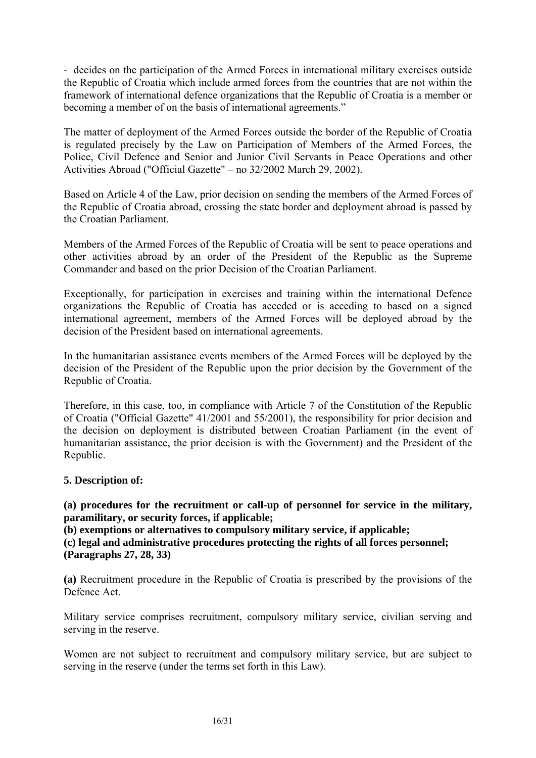- decides on the participation of the Armed Forces in international military exercises outside the Republic of Croatia which include armed forces from the countries that are not within the framework of international defence organizations that the Republic of Croatia is a member or becoming a member of on the basis of international agreements."

The matter of deployment of the Armed Forces outside the border of the Republic of Croatia is regulated precisely by the Law on Participation of Members of the Armed Forces, the Police, Civil Defence and Senior and Junior Civil Servants in Peace Operations and other Activities Abroad ("Official Gazette" – no 32/2002 March 29, 2002).

Based on Article 4 of the Law, prior decision on sending the members of the Armed Forces of the Republic of Croatia abroad, crossing the state border and deployment abroad is passed by the Croatian Parliament.

Members of the Armed Forces of the Republic of Croatia will be sent to peace operations and other activities abroad by an order of the President of the Republic as the Supreme Commander and based on the prior Decision of the Croatian Parliament.

Exceptionally, for participation in exercises and training within the international Defence organizations the Republic of Croatia has acceded or is acceding to based on a signed international agreement, members of the Armed Forces will be deployed abroad by the decision of the President based on international agreements.

In the humanitarian assistance events members of the Armed Forces will be deployed by the decision of the President of the Republic upon the prior decision by the Government of the Republic of Croatia.

Therefore, in this case, too, in compliance with Article 7 of the Constitution of the Republic of Croatia ("Official Gazette" 41/2001 and 55/2001), the responsibility for prior decision and the decision on deployment is distributed between Croatian Parliament (in the event of humanitarian assistance, the prior decision is with the Government) and the President of the Republic.

## **5. Description of:**

**(a) procedures for the recruitment or call-up of personnel for service in the military, paramilitary, or security forces, if applicable;** 

**(b) exemptions or alternatives to compulsory military service, if applicable; (c) legal and administrative procedures protecting the rights of all forces personnel;** 

**(Paragraphs 27, 28, 33)** 

**(a)** Recruitment procedure in the Republic of Croatia is prescribed by the provisions of the Defence Act.

Military service comprises recruitment, compulsory military service, civilian serving and serving in the reserve.

Women are not subject to recruitment and compulsory military service, but are subject to serving in the reserve (under the terms set forth in this Law).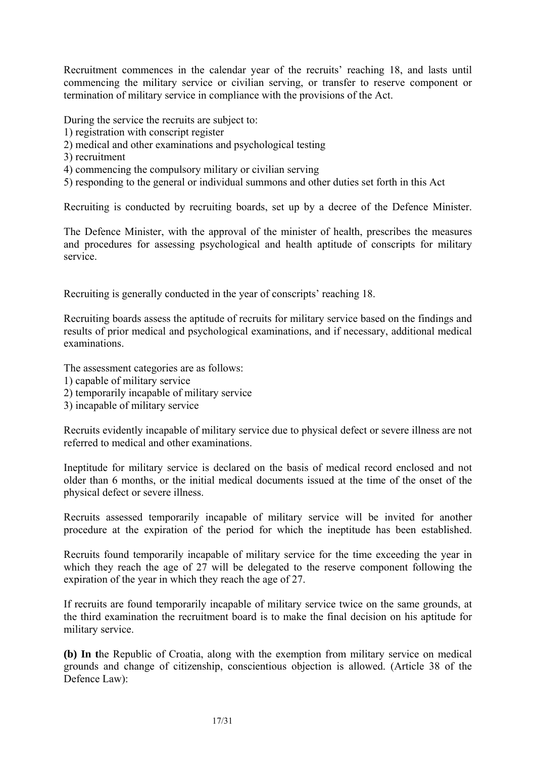Recruitment commences in the calendar year of the recruits' reaching 18, and lasts until commencing the military service or civilian serving, or transfer to reserve component or termination of military service in compliance with the provisions of the Act.

During the service the recruits are subject to:

- 1) registration with conscript register
- 2) medical and other examinations and psychological testing
- 3) recruitment
- 4) commencing the compulsory military or civilian serving
- 5) responding to the general or individual summons and other duties set forth in this Act

Recruiting is conducted by recruiting boards, set up by a decree of the Defence Minister.

The Defence Minister, with the approval of the minister of health, prescribes the measures and procedures for assessing psychological and health aptitude of conscripts for military service.

Recruiting is generally conducted in the year of conscripts' reaching 18.

Recruiting boards assess the aptitude of recruits for military service based on the findings and results of prior medical and psychological examinations, and if necessary, additional medical examinations.

The assessment categories are as follows:

- 1) capable of military service
- 2) temporarily incapable of military service
- 3) incapable of military service

Recruits evidently incapable of military service due to physical defect or severe illness are not referred to medical and other examinations.

Ineptitude for military service is declared on the basis of medical record enclosed and not older than 6 months, or the initial medical documents issued at the time of the onset of the physical defect or severe illness.

Recruits assessed temporarily incapable of military service will be invited for another procedure at the expiration of the period for which the ineptitude has been established.

Recruits found temporarily incapable of military service for the time exceeding the year in which they reach the age of 27 will be delegated to the reserve component following the expiration of the year in which they reach the age of 27.

If recruits are found temporarily incapable of military service twice on the same grounds, at the third examination the recruitment board is to make the final decision on his aptitude for military service.

**(b) In t**he Republic of Croatia, along with the exemption from military service on medical grounds and change of citizenship, conscientious objection is allowed. (Article 38 of the Defence Law):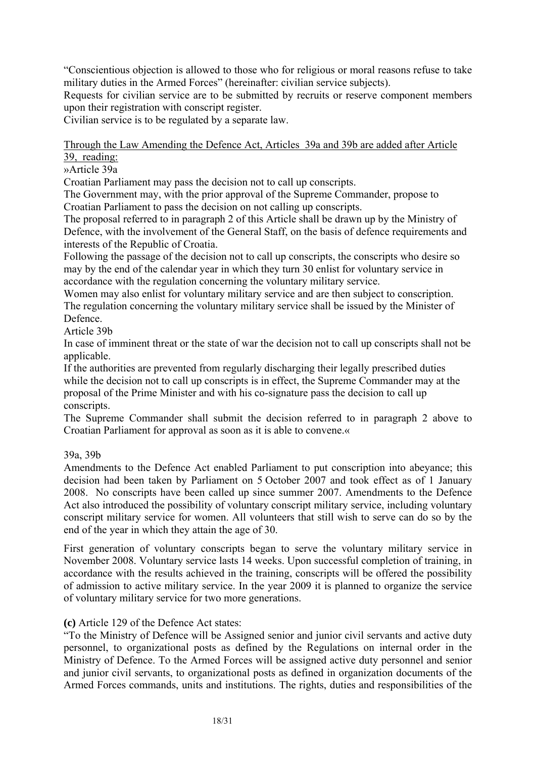"Conscientious objection is allowed to those who for religious or moral reasons refuse to take military duties in the Armed Forces" (hereinafter: civilian service subjects).

Requests for civilian service are to be submitted by recruits or reserve component members upon their registration with conscript register.

Civilian service is to be regulated by a separate law.

## Through the Law Amending the Defence Act, Articles 39a and 39b are added after Article 39, reading:

»Article 39a

Croatian Parliament may pass the decision not to call up conscripts.

The Government may, with the prior approval of the Supreme Commander, propose to Croatian Parliament to pass the decision on not calling up conscripts.

The proposal referred to in paragraph 2 of this Article shall be drawn up by the Ministry of Defence, with the involvement of the General Staff, on the basis of defence requirements and interests of the Republic of Croatia.

Following the passage of the decision not to call up conscripts, the conscripts who desire so may by the end of the calendar year in which they turn 30 enlist for voluntary service in accordance with the regulation concerning the voluntary military service.

Women may also enlist for voluntary military service and are then subject to conscription. The regulation concerning the voluntary military service shall be issued by the Minister of Defence.

Article 39b

In case of imminent threat or the state of war the decision not to call up conscripts shall not be applicable.

If the authorities are prevented from regularly discharging their legally prescribed duties while the decision not to call up conscripts is in effect, the Supreme Commander may at the proposal of the Prime Minister and with his co-signature pass the decision to call up conscripts.

The Supreme Commander shall submit the decision referred to in paragraph 2 above to Croatian Parliament for approval as soon as it is able to convene.«

## 39a, 39b

Amendments to the Defence Act enabled Parliament to put conscription into abeyance; this decision had been taken by Parliament on 5 October 2007 and took effect as of 1 January 2008. No conscripts have been called up since summer 2007. Amendments to the Defence Act also introduced the possibility of voluntary conscript military service, including voluntary conscript military service for women. All volunteers that still wish to serve can do so by the end of the year in which they attain the age of 30.

First generation of voluntary conscripts began to serve the voluntary military service in November 2008. Voluntary service lasts 14 weeks. Upon successful completion of training, in accordance with the results achieved in the training, conscripts will be offered the possibility of admission to active military service. In the year 2009 it is planned to organize the service of voluntary military service for two more generations.

## **(c)** Article 129 of the Defence Act states:

"To the Ministry of Defence will be Assigned senior and junior civil servants and active duty personnel, to organizational posts as defined by the Regulations on internal order in the Ministry of Defence. To the Armed Forces will be assigned active duty personnel and senior and junior civil servants, to organizational posts as defined in organization documents of the Armed Forces commands, units and institutions. The rights, duties and responsibilities of the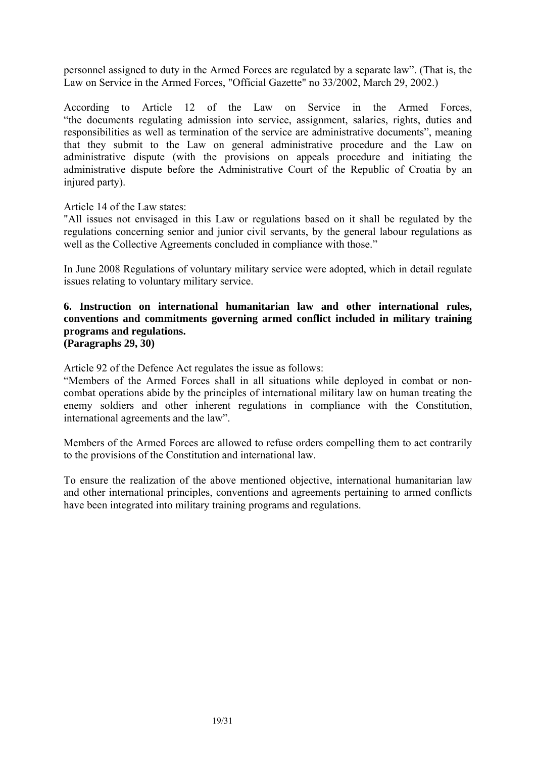personnel assigned to duty in the Armed Forces are regulated by a separate law". (That is, the Law on Service in the Armed Forces, "Official Gazette" no 33/2002, March 29, 2002.)

According to Article 12 of the Law on Service in the Armed Forces, "the documents regulating admission into service, assignment, salaries, rights, duties and responsibilities as well as termination of the service are administrative documents", meaning that they submit to the Law on general administrative procedure and the Law on administrative dispute (with the provisions on appeals procedure and initiating the administrative dispute before the Administrative Court of the Republic of Croatia by an injured party).

Article 14 of the Law states:

"All issues not envisaged in this Law or regulations based on it shall be regulated by the regulations concerning senior and junior civil servants, by the general labour regulations as well as the Collective Agreements concluded in compliance with those."

In June 2008 Regulations of voluntary military service were adopted, which in detail regulate issues relating to voluntary military service.

#### **6. Instruction on international humanitarian law and other international rules, conventions and commitments governing armed conflict included in military training programs and regulations. (Paragraphs 29, 30)**

Article 92 of the Defence Act regulates the issue as follows:

"Members of the Armed Forces shall in all situations while deployed in combat or noncombat operations abide by the principles of international military law on human treating the enemy soldiers and other inherent regulations in compliance with the Constitution, international agreements and the law".

Members of the Armed Forces are allowed to refuse orders compelling them to act contrarily to the provisions of the Constitution and international law.

To ensure the realization of the above mentioned objective, international humanitarian law and other international principles, conventions and agreements pertaining to armed conflicts have been integrated into military training programs and regulations.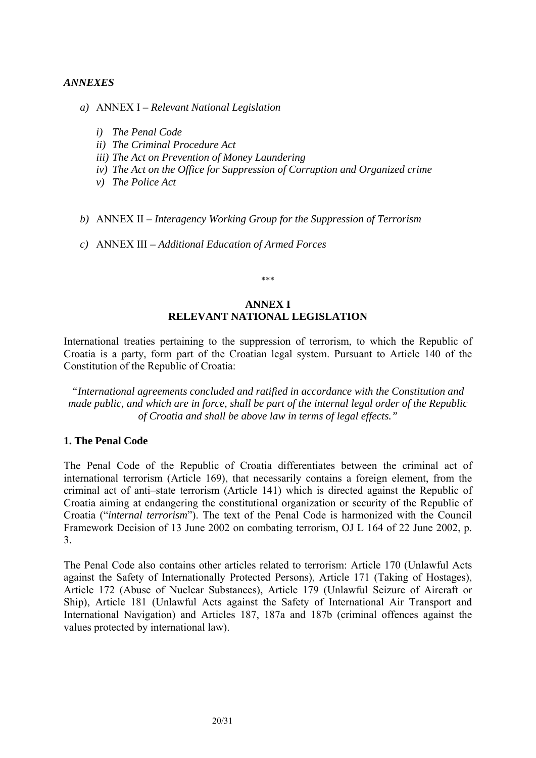#### *ANNEXES*

- *a)* ANNEX I *Relevant National Legislation* 
	- *i) The Penal Code*
	- *ii) The Criminal Procedure Act*
	- *iii) The Act on Prevention of Money Laundering*
	- *iv) The Act on the Office for Suppression of Corruption and Organized crime*
	- *v) The Police Act*
- *b)* ANNEX II *Interagency Working Group for the Suppression of Terrorism*
- *c)* ANNEX III *Additional Education of Armed Forces*

#### \*\*\*

#### **ANNEX I RELEVANT NATIONAL LEGISLATION**

International treaties pertaining to the suppression of terrorism, to which the Republic of Croatia is a party, form part of the Croatian legal system. Pursuant to Article 140 of the Constitution of the Republic of Croatia:

*"International agreements concluded and ratified in accordance with the Constitution and made public, and which are in force, shall be part of the internal legal order of the Republic of Croatia and shall be above law in terms of legal effects."*

#### **1. The Penal Code**

The Penal Code of the Republic of Croatia differentiates between the criminal act of international terrorism (Article 169), that necessarily contains a foreign element, from the criminal act of anti–state terrorism (Article 141) which is directed against the Republic of Croatia aiming at endangering the constitutional organization or security of the Republic of Croatia ("*internal terrorism*"). The text of the Penal Code is harmonized with the Council Framework Decision of 13 June 2002 on combating terrorism, OJ L 164 of 22 June 2002, p. 3.

The Penal Code also contains other articles related to terrorism: Article 170 (Unlawful Acts against the Safety of Internationally Protected Persons), Article 171 (Taking of Hostages), Article 172 (Abuse of Nuclear Substances), Article 179 (Unlawful Seizure of Aircraft or Ship), Article 181 (Unlawful Acts against the Safety of International Air Transport and International Navigation) and Articles 187, 187a and 187b (criminal offences against the values protected by international law).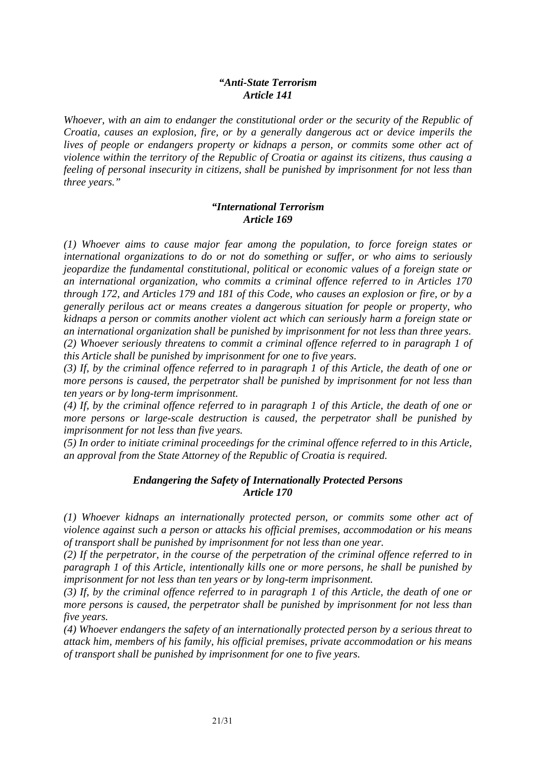#### *"Anti-State Terrorism Article 141*

*Whoever, with an aim to endanger the constitutional order or the security of the Republic of Croatia, causes an explosion, fire, or by a generally dangerous act or device imperils the lives of people or endangers property or kidnaps a person, or commits some other act of violence within the territory of the Republic of Croatia or against its citizens, thus causing a feeling of personal insecurity in citizens, shall be punished by imprisonment for not less than three years."* 

## *"International Terrorism Article 169*

*(1) Whoever aims to cause major fear among the population, to force foreign states or international organizations to do or not do something or suffer, or who aims to seriously jeopardize the fundamental constitutional, political or economic values of a foreign state or an international organization, who commits a criminal offence referred to in Articles 170 through 172, and Articles 179 and 181 of this Code, who causes an explosion or fire, or by a generally perilous act or means creates a dangerous situation for people or property, who kidnaps a person or commits another violent act which can seriously harm a foreign state or an international organization shall be punished by imprisonment for not less than three years. (2) Whoever seriously threatens to commit a criminal offence referred to in paragraph 1 of this Article shall be punished by imprisonment for one to five years.* 

*(3) If, by the criminal offence referred to in paragraph 1 of this Article, the death of one or more persons is caused, the perpetrator shall be punished by imprisonment for not less than ten years or by long-term imprisonment.* 

*(4) If, by the criminal offence referred to in paragraph 1 of this Article, the death of one or more persons or large-scale destruction is caused, the perpetrator shall be punished by imprisonment for not less than five years.* 

*(5) In order to initiate criminal proceedings for the criminal offence referred to in this Article, an approval from the State Attorney of the Republic of Croatia is required.* 

## *Endangering the Safety of Internationally Protected Persons Article 170*

*(1) Whoever kidnaps an internationally protected person, or commits some other act of violence against such a person or attacks his official premises, accommodation or his means of transport shall be punished by imprisonment for not less than one year.* 

*(2) If the perpetrator, in the course of the perpetration of the criminal offence referred to in paragraph 1 of this Article, intentionally kills one or more persons, he shall be punished by imprisonment for not less than ten years or by long-term imprisonment.* 

*(3) If, by the criminal offence referred to in paragraph 1 of this Article, the death of one or more persons is caused, the perpetrator shall be punished by imprisonment for not less than five years.* 

*(4) Whoever endangers the safety of an internationally protected person by a serious threat to attack him, members of his family, his official premises, private accommodation or his means of transport shall be punished by imprisonment for one to five years.*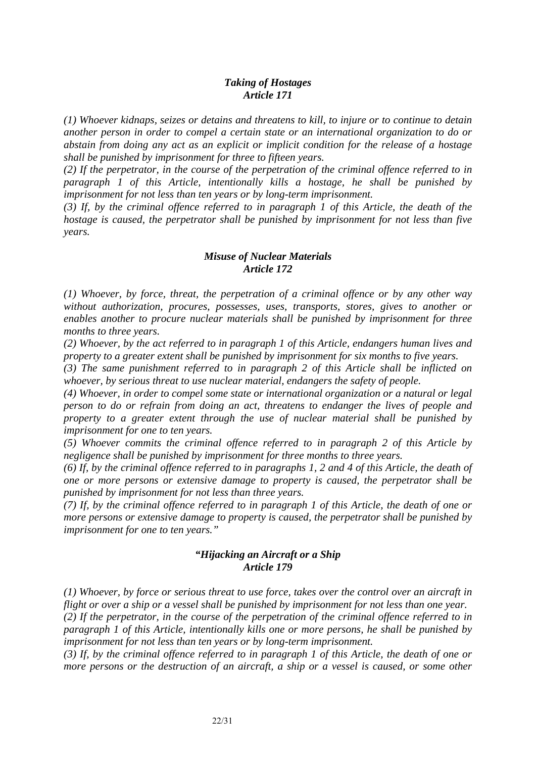## *Taking of Hostages Article 171*

*(1) Whoever kidnaps, seizes or detains and threatens to kill, to injure or to continue to detain another person in order to compel a certain state or an international organization to do or abstain from doing any act as an explicit or implicit condition for the release of a hostage shall be punished by imprisonment for three to fifteen years.* 

*(2) If the perpetrator, in the course of the perpetration of the criminal offence referred to in paragraph 1 of this Article, intentionally kills a hostage, he shall be punished by imprisonment for not less than ten years or by long-term imprisonment.* 

*(3) If, by the criminal offence referred to in paragraph 1 of this Article, the death of the hostage is caused, the perpetrator shall be punished by imprisonment for not less than five years.* 

## *Misuse of Nuclear Materials Article 172*

*(1) Whoever, by force, threat, the perpetration of a criminal offence or by any other way without authorization, procures, possesses, uses, transports, stores, gives to another or enables another to procure nuclear materials shall be punished by imprisonment for three months to three years.* 

*(2) Whoever, by the act referred to in paragraph 1 of this Article, endangers human lives and property to a greater extent shall be punished by imprisonment for six months to five years.* 

*(3) The same punishment referred to in paragraph 2 of this Article shall be inflicted on whoever, by serious threat to use nuclear material, endangers the safety of people.* 

*(4) Whoever, in order to compel some state or international organization or a natural or legal person to do or refrain from doing an act, threatens to endanger the lives of people and property to a greater extent through the use of nuclear material shall be punished by imprisonment for one to ten years.* 

*(5) Whoever commits the criminal offence referred to in paragraph 2 of this Article by negligence shall be punished by imprisonment for three months to three years.* 

*(6) If, by the criminal offence referred to in paragraphs 1, 2 and 4 of this Article, the death of one or more persons or extensive damage to property is caused, the perpetrator shall be punished by imprisonment for not less than three years.* 

*(7) If, by the criminal offence referred to in paragraph 1 of this Article, the death of one or more persons or extensive damage to property is caused, the perpetrator shall be punished by imprisonment for one to ten years."* 

## *"Hijacking an Aircraft or a Ship Article 179*

*(1) Whoever, by force or serious threat to use force, takes over the control over an aircraft in flight or over a ship or a vessel shall be punished by imprisonment for not less than one year.* 

*(2) If the perpetrator, in the course of the perpetration of the criminal offence referred to in paragraph 1 of this Article, intentionally kills one or more persons, he shall be punished by imprisonment for not less than ten years or by long-term imprisonment.* 

*(3) If, by the criminal offence referred to in paragraph 1 of this Article, the death of one or more persons or the destruction of an aircraft, a ship or a vessel is caused, or some other*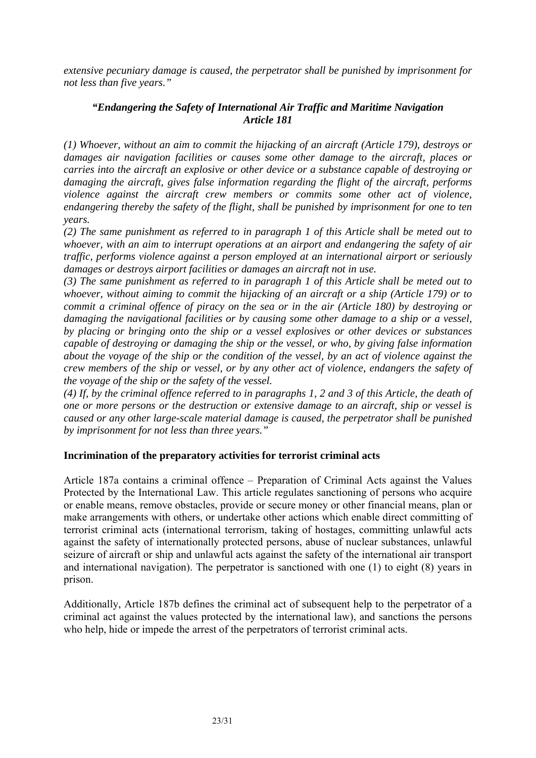*extensive pecuniary damage is caused, the perpetrator shall be punished by imprisonment for not less than five years."* 

## *"Endangering the Safety of International Air Traffic and Maritime Navigation Article 181*

*(1) Whoever, without an aim to commit the hijacking of an aircraft (Article 179), destroys or damages air navigation facilities or causes some other damage to the aircraft, places or carries into the aircraft an explosive or other device or a substance capable of destroying or damaging the aircraft, gives false information regarding the flight of the aircraft, performs violence against the aircraft crew members or commits some other act of violence, endangering thereby the safety of the flight, shall be punished by imprisonment for one to ten years.* 

*(2) The same punishment as referred to in paragraph 1 of this Article shall be meted out to whoever, with an aim to interrupt operations at an airport and endangering the safety of air traffic, performs violence against a person employed at an international airport or seriously damages or destroys airport facilities or damages an aircraft not in use.* 

*(3) The same punishment as referred to in paragraph 1 of this Article shall be meted out to whoever, without aiming to commit the hijacking of an aircraft or a ship (Article 179) or to commit a criminal offence of piracy on the sea or in the air (Article 180) by destroying or damaging the navigational facilities or by causing some other damage to a ship or a vessel, by placing or bringing onto the ship or a vessel explosives or other devices or substances capable of destroying or damaging the ship or the vessel, or who, by giving false information about the voyage of the ship or the condition of the vessel, by an act of violence against the crew members of the ship or vessel, or by any other act of violence, endangers the safety of the voyage of the ship or the safety of the vessel.* 

*(4) If, by the criminal offence referred to in paragraphs 1, 2 and 3 of this Article, the death of one or more persons or the destruction or extensive damage to an aircraft, ship or vessel is caused or any other large-scale material damage is caused, the perpetrator shall be punished by imprisonment for not less than three years."* 

## **Incrimination of the preparatory activities for terrorist criminal acts**

Article 187a contains a criminal offence – Preparation of Criminal Acts against the Values Protected by the International Law. This article regulates sanctioning of persons who acquire or enable means, remove obstacles, provide or secure money or other financial means, plan or make arrangements with others, or undertake other actions which enable direct committing of terrorist criminal acts (international terrorism, taking of hostages, committing unlawful acts against the safety of internationally protected persons, abuse of nuclear substances, unlawful seizure of aircraft or ship and unlawful acts against the safety of the international air transport and international navigation). The perpetrator is sanctioned with one (1) to eight (8) years in prison.

Additionally, Article 187b defines the criminal act of subsequent help to the perpetrator of a criminal act against the values protected by the international law), and sanctions the persons who help, hide or impede the arrest of the perpetrators of terrorist criminal acts.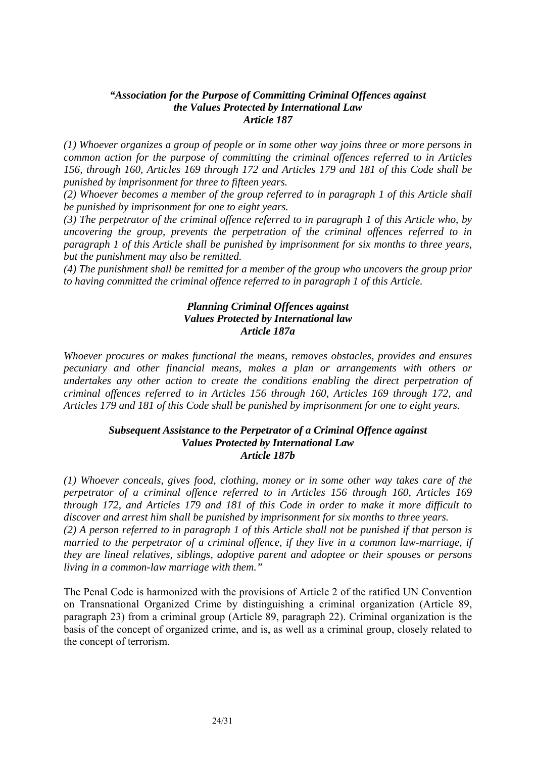#### *"Association for the Purpose of Committing Criminal Offences against the Values Protected by International Law Article 187*

*(1) Whoever organizes a group of people or in some other way joins three or more persons in common action for the purpose of committing the criminal offences referred to in Articles 156, through 160, Articles 169 through 172 and Articles 179 and 181 of this Code shall be punished by imprisonment for three to fifteen years.* 

*(2) Whoever becomes a member of the group referred to in paragraph 1 of this Article shall be punished by imprisonment for one to eight years.* 

*(3) The perpetrator of the criminal offence referred to in paragraph 1 of this Article who, by uncovering the group, prevents the perpetration of the criminal offences referred to in paragraph 1 of this Article shall be punished by imprisonment for six months to three years, but the punishment may also be remitted.* 

*(4) The punishment shall be remitted for a member of the group who uncovers the group prior to having committed the criminal offence referred to in paragraph 1 of this Article.* 

#### *Planning Criminal Offences against Values Protected by International law Article 187a*

*Whoever procures or makes functional the means, removes obstacles, provides and ensures pecuniary and other financial means, makes a plan or arrangements with others or undertakes any other action to create the conditions enabling the direct perpetration of criminal offences referred to in Articles 156 through 160, Articles 169 through 172, and Articles 179 and 181 of this Code shall be punished by imprisonment for one to eight years.* 

#### *Subsequent Assistance to the Perpetrator of a Criminal Offence against Values Protected by International Law Article 187b*

*(1) Whoever conceals, gives food, clothing, money or in some other way takes care of the perpetrator of a criminal offence referred to in Articles 156 through 160, Articles 169 through 172, and Articles 179 and 181 of this Code in order to make it more difficult to discover and arrest him shall be punished by imprisonment for six months to three years. (2) A person referred to in paragraph 1 of this Article shall not be punished if that person is married to the perpetrator of a criminal offence, if they live in a common law-marriage, if they are lineal relatives, siblings, adoptive parent and adoptee or their spouses or persons living in a common-law marriage with them."* 

The Penal Code is harmonized with the provisions of Article 2 of the ratified UN Convention on Transnational Organized Crime by distinguishing a criminal organization (Article 89, paragraph 23) from a criminal group (Article 89, paragraph 22). Criminal organization is the basis of the concept of organized crime, and is, as well as a criminal group, closely related to the concept of terrorism.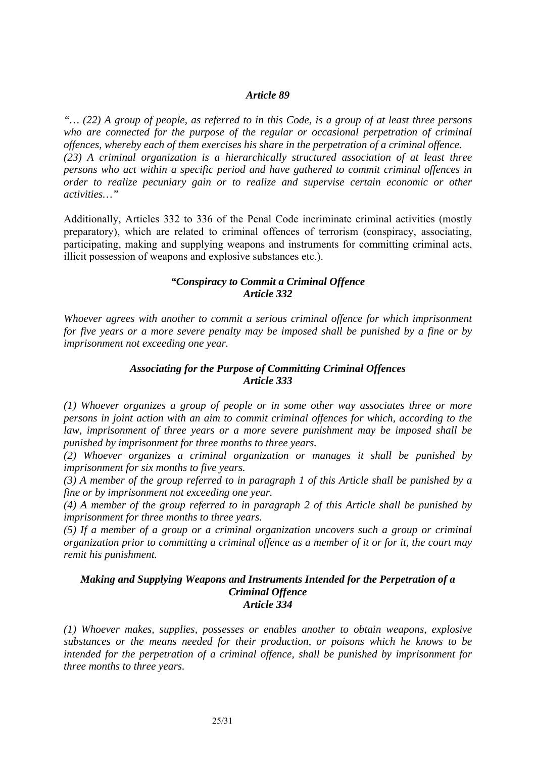#### *Article 89*

*"… (22) A group of people, as referred to in this Code, is a group of at least three persons*  who are connected for the purpose of the regular or occasional perpetration of criminal *offences, whereby each of them exercises his share in the perpetration of a criminal offence. (23) A criminal organization is a hierarchically structured association of at least three persons who act within a specific period and have gathered to commit criminal offences in order to realize pecuniary gain or to realize and supervise certain economic or other activities…"* 

Additionally, Articles 332 to 336 of the Penal Code incriminate criminal activities (mostly preparatory), which are related to criminal offences of terrorism (conspiracy, associating, participating, making and supplying weapons and instruments for committing criminal acts, illicit possession of weapons and explosive substances etc.).

## *"Conspiracy to Commit a Criminal Offence Article 332*

*Whoever agrees with another to commit a serious criminal offence for which imprisonment for five years or a more severe penalty may be imposed shall be punished by a fine or by imprisonment not exceeding one year.* 

#### *Associating for the Purpose of Committing Criminal Offences Article 333*

*(1) Whoever organizes a group of people or in some other way associates three or more persons in joint action with an aim to commit criminal offences for which, according to the*  law, imprisonment of three years or a more severe punishment may be imposed shall be *punished by imprisonment for three months to three years.* 

*(2) Whoever organizes a criminal organization or manages it shall be punished by imprisonment for six months to five years.* 

*(3) A member of the group referred to in paragraph 1 of this Article shall be punished by a fine or by imprisonment not exceeding one year.* 

*(4) A member of the group referred to in paragraph 2 of this Article shall be punished by imprisonment for three months to three years.* 

*(5) If a member of a group or a criminal organization uncovers such a group or criminal organization prior to committing a criminal offence as a member of it or for it, the court may remit his punishment.* 

#### *Making and Supplying Weapons and Instruments Intended for the Perpetration of a Criminal Offence Article 334*

*(1) Whoever makes, supplies, possesses or enables another to obtain weapons, explosive substances or the means needed for their production, or poisons which he knows to be intended for the perpetration of a criminal offence, shall be punished by imprisonment for three months to three years.*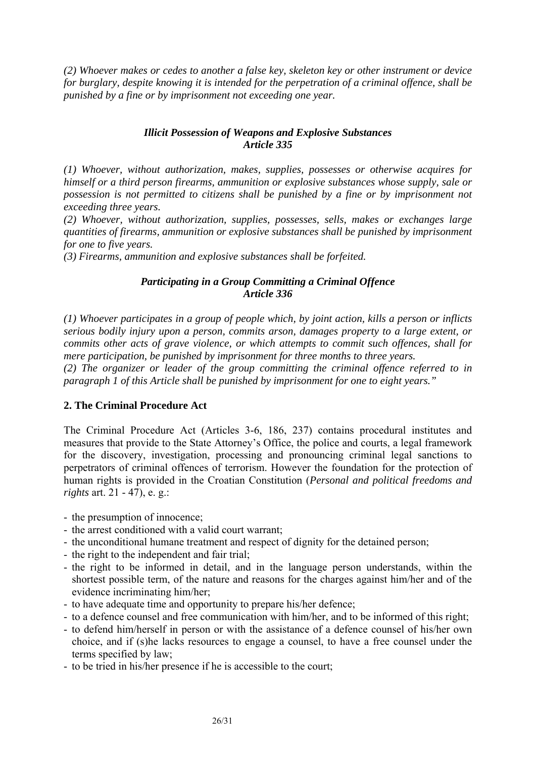*(2) Whoever makes or cedes to another a false key, skeleton key or other instrument or device for burglary, despite knowing it is intended for the perpetration of a criminal offence, shall be punished by a fine or by imprisonment not exceeding one year.* 

## *Illicit Possession of Weapons and Explosive Substances Article 335*

*(1) Whoever, without authorization, makes, supplies, possesses or otherwise acquires for himself or a third person firearms, ammunition or explosive substances whose supply, sale or possession is not permitted to citizens shall be punished by a fine or by imprisonment not exceeding three years.* 

*(2) Whoever, without authorization, supplies, possesses, sells, makes or exchanges large quantities of firearms, ammunition or explosive substances shall be punished by imprisonment for one to five years.* 

*(3) Firearms, ammunition and explosive substances shall be forfeited.* 

## *Participating in a Group Committing a Criminal Offence Article 336*

*(1) Whoever participates in a group of people which, by joint action, kills a person or inflicts serious bodily injury upon a person, commits arson, damages property to a large extent, or commits other acts of grave violence, or which attempts to commit such offences, shall for mere participation, be punished by imprisonment for three months to three years.* 

*(2) The organizer or leader of the group committing the criminal offence referred to in paragraph 1 of this Article shall be punished by imprisonment for one to eight years."* 

## **2. The Criminal Procedure Act**

The Criminal Procedure Act (Articles 3-6, 186, 237) contains procedural institutes and measures that provide to the State Attorney's Office, the police and courts, a legal framework for the discovery, investigation, processing and pronouncing criminal legal sanctions to perpetrators of criminal offences of terrorism. However the foundation for the protection of human rights is provided in the Croatian Constitution (*Personal and political freedoms and rights* art. 21 - 47), e. g.:

- the presumption of innocence;

- the arrest conditioned with a valid court warrant;
- the unconditional humane treatment and respect of dignity for the detained person;
- the right to the independent and fair trial;
- the right to be informed in detail, and in the language person understands, within the shortest possible term, of the nature and reasons for the charges against him/her and of the evidence incriminating him/her;
- to have adequate time and opportunity to prepare his/her defence;
- to a defence counsel and free communication with him/her, and to be informed of this right;
- to defend him/herself in person or with the assistance of a defence counsel of his/her own choice, and if (s)he lacks resources to engage a counsel, to have a free counsel under the terms specified by law;
- to be tried in his/her presence if he is accessible to the court;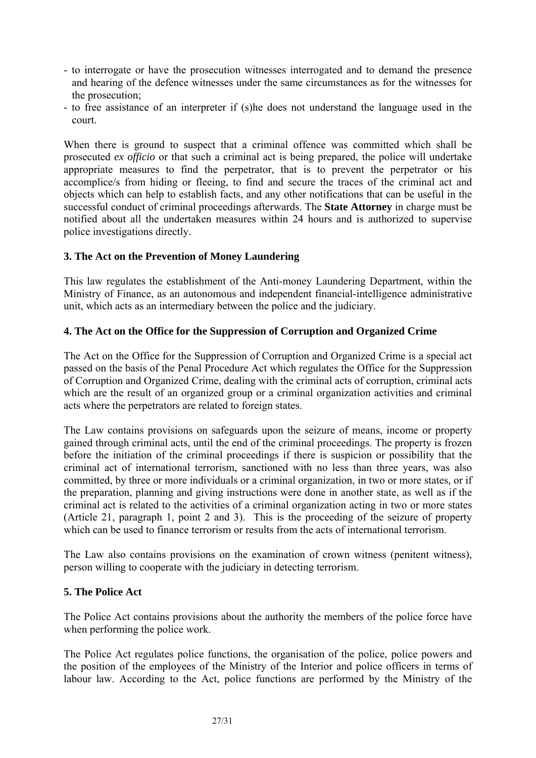- to interrogate or have the prosecution witnesses interrogated and to demand the presence and hearing of the defence witnesses under the same circumstances as for the witnesses for the prosecution;
- to free assistance of an interpreter if (s)he does not understand the language used in the court.

When there is ground to suspect that a criminal offence was committed which shall be prosecuted *ex officio* or that such a criminal act is being prepared, the police will undertake appropriate measures to find the perpetrator, that is to prevent the perpetrator or his accomplice/s from hiding or fleeing, to find and secure the traces of the criminal act and objects which can help to establish facts, and any other notifications that can be useful in the successful conduct of criminal proceedings afterwards. The **State Attorney** in charge must be notified about all the undertaken measures within 24 hours and is authorized to supervise police investigations directly.

## **3. The Act on the Prevention of Money Laundering**

This law regulates the establishment of the Anti-money Laundering Department, within the Ministry of Finance, as an autonomous and independent financial-intelligence administrative unit, which acts as an intermediary between the police and the judiciary.

## **4. The Act on the Office for the Suppression of Corruption and Organized Crime**

The Act on the Office for the Suppression of Corruption and Organized Crime is a special act passed on the basis of the Penal Procedure Act which regulates the Office for the Suppression of Corruption and Organized Crime, dealing with the criminal acts of corruption, criminal acts which are the result of an organized group or a criminal organization activities and criminal acts where the perpetrators are related to foreign states.

The Law contains provisions on safeguards upon the seizure of means, income or property gained through criminal acts, until the end of the criminal proceedings. The property is frozen before the initiation of the criminal proceedings if there is suspicion or possibility that the criminal act of international terrorism, sanctioned with no less than three years, was also committed, by three or more individuals or a criminal organization, in two or more states, or if the preparation, planning and giving instructions were done in another state, as well as if the criminal act is related to the activities of a criminal organization acting in two or more states (Article 21, paragraph 1, point 2 and 3). This is the proceeding of the seizure of property which can be used to finance terrorism or results from the acts of international terrorism.

The Law also contains provisions on the examination of crown witness (penitent witness), person willing to cooperate with the judiciary in detecting terrorism.

#### **5. The Police Act**

The Police Act contains provisions about the authority the members of the police force have when performing the police work.

The Police Act regulates police functions, the organisation of the police, police powers and the position of the employees of the Ministry of the Interior and police officers in terms of labour law. According to the Act, police functions are performed by the Ministry of the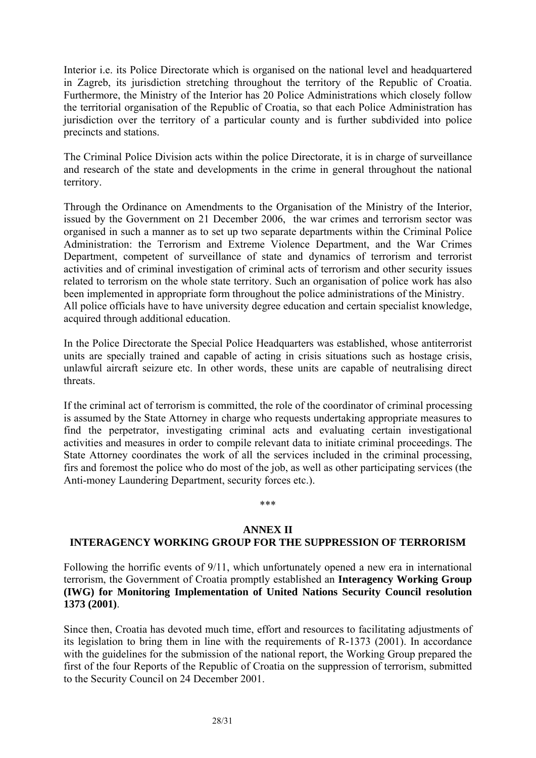Interior i.e. its Police Directorate which is organised on the national level and headquartered in Zagreb, its jurisdiction stretching throughout the territory of the Republic of Croatia. Furthermore, the Ministry of the Interior has 20 Police Administrations which closely follow the territorial organisation of the Republic of Croatia, so that each Police Administration has jurisdiction over the territory of a particular county and is further subdivided into police precincts and stations.

The Criminal Police Division acts within the police Directorate, it is in charge of surveillance and research of the state and developments in the crime in general throughout the national territory.

Through the Ordinance on Amendments to the Organisation of the Ministry of the Interior, issued by the Government on 21 December 2006, the war crimes and terrorism sector was organised in such a manner as to set up two separate departments within the Criminal Police Administration: the Terrorism and Extreme Violence Department, and the War Crimes Department, competent of surveillance of state and dynamics of terrorism and terrorist activities and of criminal investigation of criminal acts of terrorism and other security issues related to terrorism on the whole state territory. Such an organisation of police work has also been implemented in appropriate form throughout the police administrations of the Ministry. All police officials have to have university degree education and certain specialist knowledge, acquired through additional education.

In the Police Directorate the Special Police Headquarters was established, whose antiterrorist units are specially trained and capable of acting in crisis situations such as hostage crisis, unlawful aircraft seizure etc. In other words, these units are capable of neutralising direct threats.

If the criminal act of terrorism is committed, the role of the coordinator of criminal processing is assumed by the State Attorney in charge who requests undertaking appropriate measures to find the perpetrator, investigating criminal acts and evaluating certain investigational activities and measures in order to compile relevant data to initiate criminal proceedings. The State Attorney coordinates the work of all the services included in the criminal processing, firs and foremost the police who do most of the job, as well as other participating services (the Anti-money Laundering Department, security forces etc.).

#### \*\*\*

#### **ANNEX II**

#### **INTERAGENCY WORKING GROUP FOR THE SUPPRESSION OF TERRORISM**

Following the horrific events of 9/11, which unfortunately opened a new era in international terrorism, the Government of Croatia promptly established an **Interagency Working Group (IWG) for Monitoring Implementation of United Nations Security Council resolution 1373 (2001)**.

Since then, Croatia has devoted much time, effort and resources to facilitating adjustments of its legislation to bring them in line with the requirements of R-1373 (2001). In accordance with the guidelines for the submission of the national report, the Working Group prepared the first of the four Reports of the Republic of Croatia on the suppression of terrorism, submitted to the Security Council on 24 December 2001.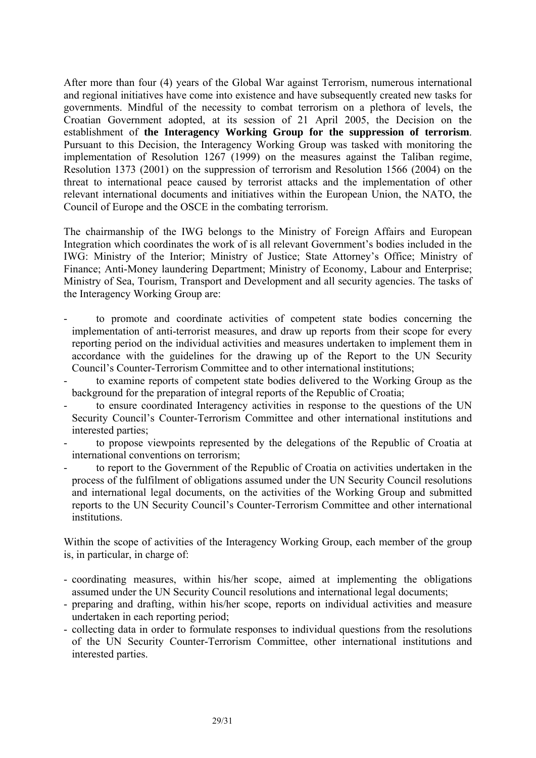After more than four (4) years of the Global War against Terrorism, numerous international and regional initiatives have come into existence and have subsequently created new tasks for governments. Mindful of the necessity to combat terrorism on a plethora of levels, the Croatian Government adopted, at its session of 21 April 2005, the Decision on the establishment of **the Interagency Working Group for the suppression of terrorism**. Pursuant to this Decision, the Interagency Working Group was tasked with monitoring the implementation of Resolution 1267 (1999) on the measures against the Taliban regime, Resolution 1373 (2001) on the suppression of terrorism and Resolution 1566 (2004) on the threat to international peace caused by terrorist attacks and the implementation of other relevant international documents and initiatives within the European Union, the NATO, the Council of Europe and the OSCE in the combating terrorism.

The chairmanship of the IWG belongs to the Ministry of Foreign Affairs and European Integration which coordinates the work of is all relevant Government's bodies included in the IWG: Ministry of the Interior; Ministry of Justice; State Attorney's Office; Ministry of Finance; Anti-Money laundering Department; Ministry of Economy, Labour and Enterprise; Ministry of Sea, Tourism, Transport and Development and all security agencies. The tasks of the Interagency Working Group are:

- to promote and coordinate activities of competent state bodies concerning the implementation of anti-terrorist measures, and draw up reports from their scope for every reporting period on the individual activities and measures undertaken to implement them in accordance with the guidelines for the drawing up of the Report to the UN Security Council's Counter-Terrorism Committee and to other international institutions;
- to examine reports of competent state bodies delivered to the Working Group as the background for the preparation of integral reports of the Republic of Croatia;
- to ensure coordinated Interagency activities in response to the questions of the UN Security Council's Counter-Terrorism Committee and other international institutions and interested parties;
- to propose viewpoints represented by the delegations of the Republic of Croatia at international conventions on terrorism;
- to report to the Government of the Republic of Croatia on activities undertaken in the process of the fulfilment of obligations assumed under the UN Security Council resolutions and international legal documents, on the activities of the Working Group and submitted reports to the UN Security Council's Counter-Terrorism Committee and other international institutions.

Within the scope of activities of the Interagency Working Group, each member of the group is, in particular, in charge of:

- coordinating measures, within his/her scope, aimed at implementing the obligations assumed under the UN Security Council resolutions and international legal documents;
- preparing and drafting, within his/her scope, reports on individual activities and measure undertaken in each reporting period;
- collecting data in order to formulate responses to individual questions from the resolutions of the UN Security Counter-Terrorism Committee, other international institutions and interested parties.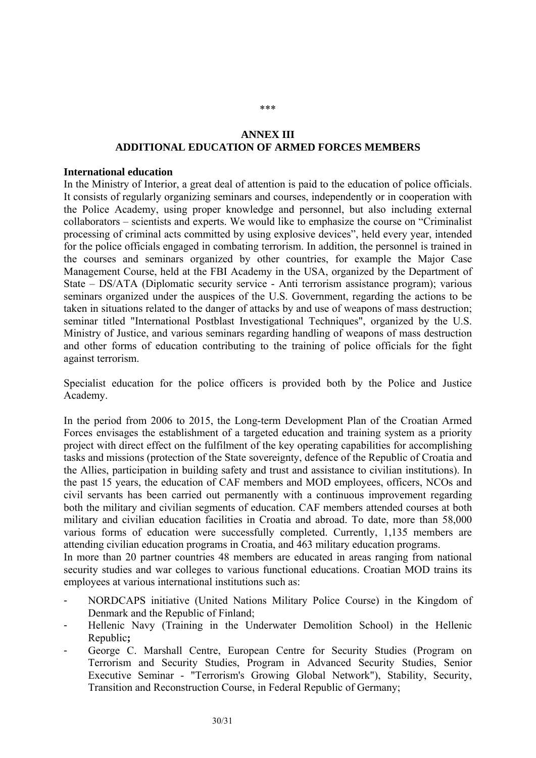## **ANNEX III ADDITIONAL EDUCATION OF ARMED FORCES MEMBERS**

#### **International education**

In the Ministry of Interior, a great deal of attention is paid to the education of police officials. It consists of regularly organizing seminars and courses, independently or in cooperation with the Police Academy, using proper knowledge and personnel, but also including external collaborators – scientists and experts. We would like to emphasize the course on "Criminalist processing of criminal acts committed by using explosive devices", held every year, intended for the police officials engaged in combating terrorism. In addition, the personnel is trained in the courses and seminars organized by other countries, for example the Major Case Management Course, held at the FBI Academy in the USA, organized by the Department of State – DS/ATA (Diplomatic security service - Anti terrorism assistance program); various seminars organized under the auspices of the U.S. Government, regarding the actions to be taken in situations related to the danger of attacks by and use of weapons of mass destruction; seminar titled "International Postblast Investigational Techniques", organized by the U.S. Ministry of Justice, and various seminars regarding handling of weapons of mass destruction and other forms of education contributing to the training of police officials for the fight against terrorism.

Specialist education for the police officers is provided both by the Police and Justice Academy.

In the period from 2006 to 2015, the Long-term Development Plan of the Croatian Armed Forces envisages the establishment of a targeted education and training system as a priority project with direct effect on the fulfilment of the key operating capabilities for accomplishing tasks and missions (protection of the State sovereignty, defence of the Republic of Croatia and the Allies, participation in building safety and trust and assistance to civilian institutions). In the past 15 years, the education of CAF members and MOD employees, officers, NCOs and civil servants has been carried out permanently with a continuous improvement regarding both the military and civilian segments of education. CAF members attended courses at both military and civilian education facilities in Croatia and abroad. To date, more than 58,000 various forms of education were successfully completed. Currently, 1,135 members are attending civilian education programs in Croatia, and 463 military education programs.

In more than 20 partner countries 48 members are educated in areas ranging from national security studies and war colleges to various functional educations. Croatian MOD trains its employees at various international institutions such as:

- NORDCAPS initiative (United Nations Military Police Course) in the Kingdom of Denmark and the Republic of Finland;
- Hellenic Navy (Training in the Underwater Demolition School) in the Hellenic Republic**;**
- George C. Marshall Centre, European Centre for Security Studies (Program on Terrorism and Security Studies, Program in Advanced Security Studies, Senior Executive Seminar - "Terrorism's Growing Global Network"), Stability, Security, Transition and Reconstruction Course, in Federal Republic of Germany;

\*\*\*